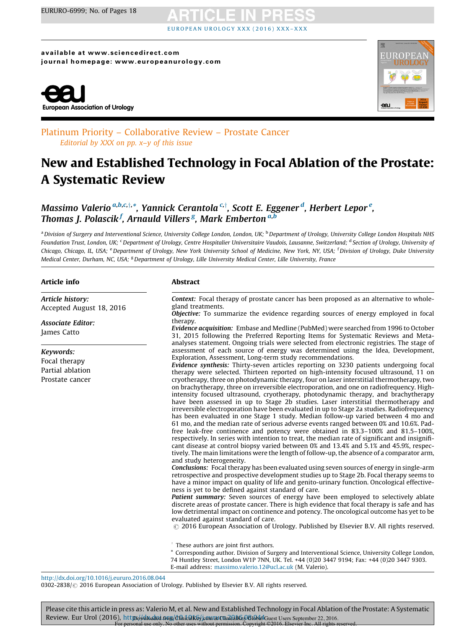# EUROPEA[N](http://dx.doi.org/10.1016/j.eururo.2016.08.044) UROLOGY XXX (2016) XXX-XXX

available at www.sciencedirect.com journal homepage: www.europeanurology.com





### Platinum Priority – Collaborative Review – Prostate Cancer Editorial by XXX on pp.  $x-y$  of this issue

## New and Established Technology in Focal Ablation of the Prostate: A Systematic Review

Massimo Valerio  $^{a,b,c,\dagger,\ast},$  Yannick Cerantola  $^{c,\dagger},$  Scott E. Eggener  $^d$ , Herbert Lepor  $^e$ , Thomas J. Polascik<sup> f</sup>, Arnauld Villers <sup>g</sup>, Mark Emberton <sup>a,b</sup>

<sup>a</sup> Division of Surgery and Interventional Science, University College London, London, UK; <sup>b</sup> Department of Urology, University College London Hospitals NHS Foundation Trust, London, UK; <sup>c</sup> Department of Urology, Centre Hospitalier Universitaire Vaudois, Lausanne, Switzerland; <sup>d</sup> Section of Urology, University of Chicago, Chicago, IL, USA; <sup>e</sup> Department of Urology, New York University School of Medicine, New York, NY, USA; <sup>f</sup> Division of Urology, Duke University Medical Center, Durham, NC, USA; <sup>g</sup> Department of Urology, Lille University Medical Center, Lille University, France

#### Article info

Article history: Accepted August 18, 2016

Associate Editor: James Catto

#### Keywords:

Focal therapy Partial ablation Prostate cancer

#### Abstract

Context: Focal therapy of prostate cancer has been proposed as an alternative to wholegland treatments. Objective: To summarize the evidence regarding sources of energy employed in focal therapy.

Evidence acquisition: Embase and Medline (PubMed) were searched from 1996 to October 31, 2015 following the Preferred Reporting Items for Systematic Reviews and Metaanalyses statement. Ongoing trials were selected from electronic registries. The stage of assessment of each source of energy was determined using the Idea, Development, Exploration, Assessment, Long-term study recommendations.

Evidence synthesis: Thirty-seven articles reporting on 3230 patients undergoing focal therapy were selected. Thirteen reported on high-intensity focused ultrasound, 11 on cryotherapy, three on photodynamic therapy, four on laser interstitial thermotherapy, two on brachytherapy, three on irreversible electroporation, and one on radiofrequency. Highintensity focused ultrasound, cryotherapy, photodynamic therapy, and brachytherapy have been assessed in up to Stage 2b studies. Laser interstitial thermotherapy and irreversible electroporation have been evaluated in up to Stage 2a studies. Radiofrequency has been evaluated in one Stage 1 study. Median follow-up varied between 4 mo and 61 mo, and the median rate of serious adverse events ranged between 0% and 10.6%. Padfree leak-free continence and potency were obtained in 83.3–100% and 81.5–100%, respectively. In series with intention to treat, the median rate of significant and insignificant disease at control biopsy varied between 0% and 13.4% and 5.1% and 45.9%, respectively. The main limitations were the length of follow-up, the absence of a comparator arm, and study heterogeneity.

Conclusions: Focal therapy has been evaluated using seven sources of energy in single-arm retrospective and prospective development studies up to Stage 2b. Focal therapy seems to have a minor impact on quality of life and genito-urinary function. Oncological effectiveness is yet to be defined against standard of care.

Patient summary: Seven sources of energy have been employed to selectively ablate discrete areas of prostate cancer. There is high evidence that focal therapy is safe and has low detrimental impact on continence and potency. The oncological outcome has yet to be evaluated against standard of care.

 $\odot$  2016 European Association of Urology. Published by Elsevier B.V. All rights reserved.

 $\bar{y}$  These authors are joint first authors.

Corresponding author. Division of Surgery and Interventional Science, University College London, 74 Huntley Street, London W1P 7NN, UK. Tel. +44 (0)20 3447 9194; Fax: +44 (0)20 3447 9303.

E-mail address: [massimo.valerio.12@ucl.ac.uk](mailto:massimo.valerio.12@ucl.ac.uk) (M. Valerio).

<http://dx.doi.org/10.1016/j.eururo.2016.08.044>

0302-2838/ 2016 European Association of Urology. Published by Elsevier B.V. All rights reserved.

Please cite this article in press as: Valerio M, et al. New and Established Technology in Focal Ablation of the Prostate: A Systematic Review. Eur Urol (2016), http://wabaded.nog/dfhilealk6/j.com/at/at/adalke/0616b/afGuest Users September 22, 2016 For personal use only. No other uses without permission. Copyright ©2016. Elsevier Inc. All rights reserved.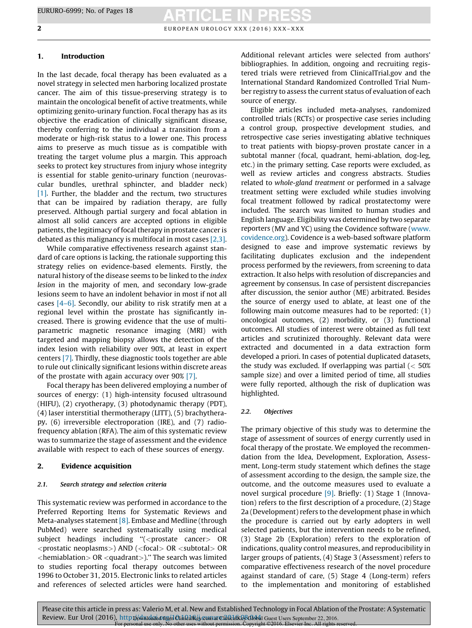#### 1. Introduction

In the last decade, focal therapy has been evaluated as a novel strategy in selected men harboring localized prostate cancer. The aim of this tissue-preserving strategy is to maintain the oncological benefit of active treatments, while optimizing genito-urinary function. Focal therapy has as its objective the eradication of clinically significant disease, thereby conferring to the individual a transition from a moderate or high-risk status to a lower one. This process aims to preserve as much tissue as is compatible with treating the target volume plus a margin. This approach seeks to protect key structures from injury whose integrity is essential for stable genito-urinary function (neurovascular bundles, urethral sphincter, and bladder neck) [\[1\].](#page-15-0) Further, the bladder and the rectum, two structures that can be impaired by radiation therapy, are fully preserved. Although partial surgery and focal ablation in almost all solid cancers are accepted options in eligible patients, the legitimacy of focal therapy in prostate cancer is debated as this malignancy is multifocal in most cases [\[2,3\]](#page-15-0).

While comparative effectiveness research against standard of care options is lacking, the rationale supporting this strategy relies on evidence-based elements. Firstly, the natural history of the disease seems to be linked to the index lesion in the majority of men, and secondary low-grade lesions seem to have an indolent behavior in most if not all cases  $[4-6]$ . Secondly, our ability to risk stratify men at a regional level within the prostate has significantly increased. There is growing evidence that the use of multiparametric magnetic resonance imaging (MRI) with targeted and mapping biopsy allows the detection of the index lesion with reliability over 90%, at least in expert centers [\[7\]](#page-16-0). Thirdly, these diagnostic tools together are able to rule out clinically significant lesions within discrete areas of the prostate with again accuracy over 90% [\[7\].](#page-16-0)

Focal therapy has been delivered employing a number of sources of energy: (1) high-intensity focused ultrasound (HIFU), (2) cryotherapy, (3) photodynamic therapy (PDT), (4) laser interstitial thermotherapy (LITT), (5) brachytherapy, (6) irreversible electroporation (IRE), and (7) radiofrequency ablation (RFA). The aim of this systematic review was to summarize the stage of assessment and the evidence available with respect to each of these sources of energy.

#### 2. Evidence acquisition

#### 2.1. Search strategy and selection criteria

This systematic review was performed in accordance to the Preferred Reporting Items for Systematic Reviews and Meta-analyses statement  $[8]$ . Embase and Medline (through PubMed) were searched systematically using medical subject headings including "(<prostate cancer> OR <prostatic neoplasms>) AND (<focal> OR <subtotal> OR <hemiablation> OR <quadrant>).'' The search was limited to studies reporting focal therapy outcomes between 1996 to October 31, 2015. Electronic links to related articles and references of selected articles were hand searched.

Additional relevant articles were selected from authors' bibliographies. In addition, ongoing and recruiting registered trials were retrieved from ClinicalTrial.gov and the International Standard Randomized Controlled Trial Number registry to assess the current status of evaluation of each source of energy.

Eligible articles included meta-analyses, randomized controlled trials (RCTs) or prospective case series including a control group, prospective development studies, and retrospective case series investigating ablative techniques to treat patients with biopsy-proven prostate cancer in a subtotal manner (focal, quadrant, hemi-ablation, dog-leg, etc.) in the primary setting. Case reports were excluded, as well as review articles and congress abstracts. Studies related to whole-gland treatment or performed in a salvage treatment setting were excluded while studies involving focal treatment followed by radical prostatectomy were included. The search was limited to human studies and English language. Eligibility was determined by two separate reporters (MV and YC) using the Covidence software ([www.](http://www.covidence.org/) [covidence.org](http://www.covidence.org/)). Covidence is a web-based software platform designed to ease and improve systematic reviews by facilitating duplicates exclusion and the independent process performed by the reviewers, from screening to data extraction. It also helps with resolution of discrepancies and agreement by consensus. In case of persistent discrepancies after discussion, the senior author (ME) arbitrated. Besides the source of energy used to ablate, at least one of the following main outcome measures had to be reported: (1) oncological outcomes, (2) morbidity, or (3) functional outcomes. All studies of interest were obtained as full text articles and scrutinized thoroughly. Relevant data were extracted and documented in a data extraction form developed a priori. In cases of potential duplicated datasets, the study was excluded. If overlapping was partial  $\zeta$  = 50% sample size) and over a limited period of time, all studies were fully reported, although the risk of duplication was highlighted.

#### 2.2. Objectives

The primary objective of this study was to determine the stage of assessment of sources of energy currently used in focal therapy of the prostate. We employed the recommendation from the Idea, Development, Exploration, Assessment, Long-term study statement which defines the stage of assessment according to the design, the sample size, the outcome, and the outcome measures used to evaluate a novel surgical procedure [\[9\]](#page-16-0). Briefly: (1) Stage 1 (Innovation) refers to the first description of a procedure, (2) Stage 2a (Development) refers to the development phase in which the procedure is carried out by early adopters in well selected patients, but the intervention needs to be refined, (3) Stage 2b (Exploration) refers to the exploration of indications, quality control measures, and reproducibility in larger groups of patients, (4) Stage 3 (Assessment) refers to comparative effectiveness research of the novel procedure against standard of care, (5) Stage 4 (Long-term) refers to the implementation and monitoring of established

Please cite this article in press as: Valerio M, et al. New and Established Technology in Focal Ablation of the Prostate: A Systematic Review. Eur Urol (2016), http://dxiolade.org/10.110218/g.com at Clancaft & Score Users September 22, 2016. For personal use only. No other uses without permission. Copyright ©2016. Elsevier Inc. All rights reserved.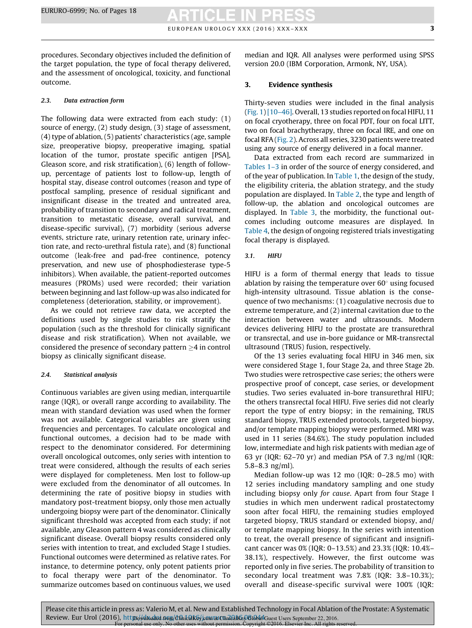procedures. Secondary objectives included the definition of the target population, the type of focal therapy delivered, and the assessment of oncological, toxicity, and functional outcome.

#### 2.3. Data extraction form

The following data were extracted from each study: (1) source of energy, (2) study design, (3) stage of assessment, (4) type of ablation, (5) patients' characteristics (age, sample size, preoperative biopsy, preoperative imaging, spatial location of the tumor, prostate specific antigen [PSA], Gleason score, and risk stratification), (6) length of followup, percentage of patients lost to follow-up, length of hospital stay, disease control outcomes (reason and type of postfocal sampling, presence of residual significant and insignificant disease in the treated and untreated area, probability of transition to secondary and radical treatment, transition to metastatic disease, overall survival, and disease-specific survival), (7) morbidity (serious adverse events, stricture rate, urinary retention rate, urinary infection rate, and recto-urethral fistula rate), and (8) functional outcome (leak-free and pad-free continence, potency preservation, and new use of phosphodiesterase type-5 inhibitors). When available, the patient-reported outcomes measures (PROMs) used were recorded; their variation between beginning and last follow-up was also indicated for completeness (deterioration, stability, or improvement).

As we could not retrieve raw data, we accepted the definitions used by single studies to risk stratify the population (such as the threshold for clinically significant disease and risk stratification). When not available, we considered the presence of secondary pattern  $>4$  in control biopsy as clinically significant disease.

#### 2.4. Statistical analysis

Continuous variables are given using median, interquartile range (IQR), or overall range according to availability. The mean with standard deviation was used when the former was not available. Categorical variables are given using frequencies and percentages. To calculate oncological and functional outcomes, a decision had to be made with respect to the denominator considered. For determining overall oncological outcomes, only series with intention to treat were considered, although the results of each series were displayed for completeness. Men lost to follow-up were excluded from the denominator of all outcomes. In determining the rate of positive biopsy in studies with mandatory post-treatment biopsy, only those men actually undergoing biopsy were part of the denominator. Clinically significant threshold was accepted from each study; if not available, any Gleason pattern 4 was considered as clinically significant disease. Overall biopsy results considered only series with intention to treat, and excluded Stage I studies. Functional outcomes were determined as relative rates. For instance, to determine potency, only potent patients prior to focal therapy were part of the denominator. To summarize outcomes based on continuous values, we used

median and IQR. All analyses were performed using SPSS version 20.0 (IBM Corporation, Armonk, NY, USA).

#### 3. Evidence synthesis

Thirty-seven studies were included in the final analysis [\(Fig.](#page-3-0) 1)[\[10–46\].](#page-16-0) Overall, 13 studies reported on focal HIFU, 11 on focal cryotherapy, three on focal PDT, four on focal LITT, two on focal brachytherapy, three on focal IRE, and one on focal RFA ([Fig.](#page-3-0) 2). Across all series, 3230 patients were treated using any source of energy delivered in a focal manner.

Data extracted from each record are summarized in [Tables](#page-4-0) 1–3 in order of the source of energy considered, and of the year of publication. In [Table](#page-4-0) 1, the design of the study, the eligibility criteria, the ablation strategy, and the study population are displayed. In [Table](#page-7-0) 2, the type and length of follow-up, the ablation and oncological outcomes are displayed. In [Table](#page-9-0) 3, the morbidity, the functional outcomes including outcome measures are displayed. In [Table](#page-11-0) 4, the design of ongoing registered trials investigating focal therapy is displayed.

#### 3.1. HIFU

HIFU is a form of thermal energy that leads to tissue ablation by raising the temperature over  $60^\circ$  using focused high-intensity ultrasound. Tissue ablation is the consequence of two mechanisms: (1) coagulative necrosis due to extreme temperature, and (2) internal cavitation due to the interaction between water and ultrasounds. Modern devices delivering HIFU to the prostate are transurethral or transrectal, and use in-bore guidance or MR-transrectal ultrasound (TRUS) fusion, respectively.

Of the 13 series evaluating focal HIFU in 346 men, six were considered Stage 1, four Stage 2a, and three Stage 2b. Two studies were retrospective case series; the others were prospective proof of concept, case series, or development studies. Two series evaluated in-bore transurethral HIFU; the others transrectal focal HIFU. Five series did not clearly report the type of entry biopsy; in the remaining, TRUS standard biopsy, TRUS extended protocols, targeted biopsy, and/or template mapping biopsy were performed. MRI was used in 11 series (84.6%). The study population included low, intermediate and high risk patients with median age of 63 yr (IQR: 62–70 yr) and median PSA of 7.3 ng/ml (IQR: 5.8–8.3 ng/ml).

Median follow-up was 12 mo (IQR: 0–28.5 mo) with 12 series including mandatory sampling and one study including biopsy only for cause. Apart from four Stage I studies in which men underwent radical prostatectomy soon after focal HIFU, the remaining studies employed targeted biopsy, TRUS standard or extended biopsy, and/ or template mapping biopsy. In the series with intention to treat, the overall presence of significant and insignificant cancer was 0% (IQR: 0–13.5%) and 23.3% (IQR: 10.4%– 38.1%), respectively. However, the first outcome was reported only in five series. The probability of transition to secondary local treatment was 7.8% (IQR: 3.8–10.3%); overall and disease-specific survival were 100% (IQR:

Please cite this article in press as: Valerio M, et al. New and Established Technology in Focal Ablation of the Prostate: A Systematic Review. Eur Urol (2016), http://dkaded.from/dthakey.com at ClinicalKeyGlobal Guest Users September 22, 2016. For personal use only. No other uses without permission. Copyright ©2016. Elsevier Inc. All rights reserved.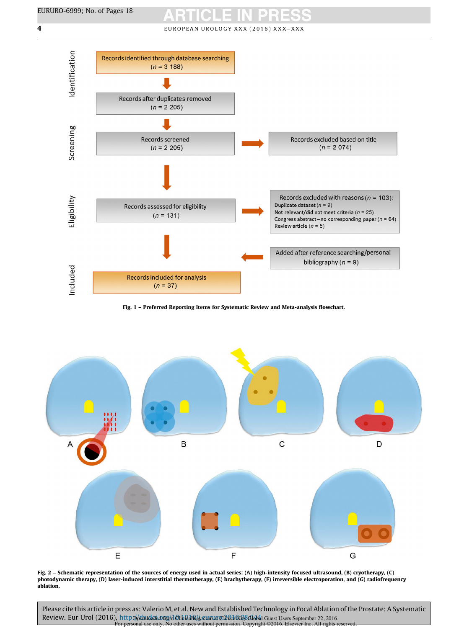<span id="page-3-0"></span>

Fig. 1 – Preferred Reporting Items for Systematic Review and Meta-analysis flowchart.



Fig. 2 – Schematic representation of the sources of energy used in actual series: (A) high-intensity focused ultrasound, (B) cryotherapy, (C) photodynamic therapy, (D) laser-induced interstitial thermotherapy, (E) brachytherapy, (F) irreversible electroporation, and (G) radiofrequency ablation.

Please cite this article in press as: Valerio M, et al. New and Established Technology in Focal Ablation of the Prostate: A Systematic Review. Eur Urol (2016), http1)6dxi6dadeonghl OtihQalR6ycomurChicakR6yCO6bal Guest Users September 22, 2016.<br>For personal use only. No other uses without permission. Copyright ©2016. Elsevier Inc. All rights reserved.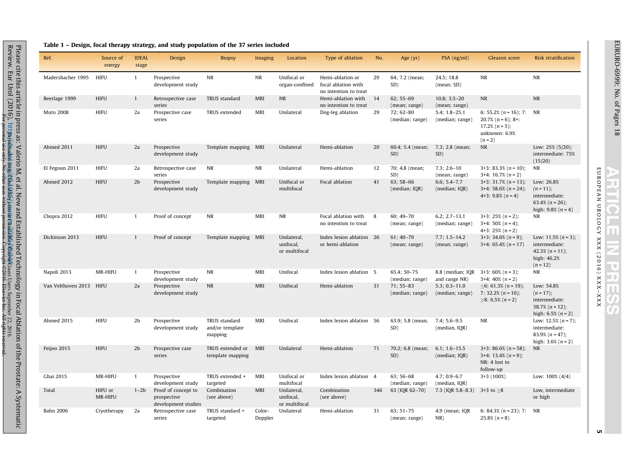#### Table 1 – Design, focal therapy strategy, and study population of the 37 series included

Please

<span id="page-4-0"></span>Review.

Eur Urol

(2016),

cite this

article in press as:

Valerio

 $\Xi$ et al. New and

Established

htt py/dikaded frog/d\finical Key/com au ClinicalKey Global Guest Users September 22, 2016. For personal use only. No other uses without permission. Copyright ©2016. Elsevier Inc. All rights reserved.

Technology

in Focal

Ablation

of the

Prostate:

A

Systematic

| Ref.                    | Source of<br>energy       | <b>IDEAL</b><br>stage | Design                                                    | <b>Biopsy</b>                               | Imaging           | Location                                  | Type of ablation                                                 | No. | Age $(yr)$                     | $PSA$ (ng/ml)                        | Gleason score                                                                                              | <b>Risk stratification</b>                                                                     |
|-------------------------|---------------------------|-----------------------|-----------------------------------------------------------|---------------------------------------------|-------------------|-------------------------------------------|------------------------------------------------------------------|-----|--------------------------------|--------------------------------------|------------------------------------------------------------------------------------------------------------|------------------------------------------------------------------------------------------------|
| Madersbacher 1995       | HIFU                      | $\mathbf{1}$          | Prospective<br>development study                          | <b>NR</b>                                   | NR                | Unifocal or<br>organ-confined             | Hemi-ablation or<br>focal ablation with<br>no intention to treat | 29  | 64; 7.2 (mean;<br>SD)          | 24.5; 18.8<br>(mean; SD)             | NR                                                                                                         | <b>NR</b>                                                                                      |
| Beerlage 1999           | <b>HIFU</b>               | $\mathbf{1}$          | Retrospective case<br>series                              | TRUS standard                               | MRI               | <b>NR</b>                                 | Hemi-ablation with<br>no intention to treat                      | 14  | $62; 55-69$<br>(mean; range)   | $10.8; 3.5 - 20$<br>(mean; range)    | <b>NR</b>                                                                                                  | <b>NR</b>                                                                                      |
| <b>Muto 2008</b>        | <b>HIFU</b>               | 2a                    | Prospective case<br>series                                | TRUS extended                               | MRI               | Unilateral                                | Dog-leg ablation                                                 | 29  | 72; 62-80<br>(median; range)   | $5.4; 1.8 - 25.1$<br>(median; range) | 6: 55.2% $(n = 16)$ ; 7: NR<br>20.7% $(n = 6)$ ; 8+:<br>$17.2\%$ $(n = 5)$ ;<br>unknown: 6.9%<br>$(n = 2)$ |                                                                                                |
| Ahmed 2011              | <b>HIFU</b>               | 2a                    | Prospective<br>development study                          | Template mapping MRI                        |                   | Unilateral                                | Hemi-ablation                                                    | 20  | $60.4$ ; 5.4 (mean;<br>SD)     | 7.3; 2.8 (mean;<br>SD)               | <b>NR</b>                                                                                                  | Low: 25% (5/20);<br>intermediate: 75%<br>(15/20)                                               |
| El Fegoun 2011          | <b>HIFU</b>               | 2a                    | Retrospective case<br>series                              | <b>NR</b>                                   | <b>NR</b>         | Unilateral                                | Hemi-ablation                                                    | 12  | 70; 4.8 (mean;<br>SD)          | $7.3; 2.6-10$<br>(mean; range)       | $3+3$ : 83.3% (n = 10);<br>$3+4$ : 16.7% $(n = 2)$                                                         | NR                                                                                             |
| Ahmed 2012              | <b>HIFU</b>               | 2 <sub>b</sub>        | Prospective<br>development study                          | Template mapping MRI                        |                   | Unifocal or<br>multifocal                 | Focal ablation                                                   | 41  | $63; 58-66$<br>(median; IQR)   | $6.6; 5.4 - 7.7$<br>(median; IQR)    | $3+3:31.7\%$ (n = 13);<br>$3+4$ : 58.6% (n = 24);<br>4+3: $9.8\%$ (n = 4)                                  | Low: 26.8%<br>$(n = 11);$<br>intermediate:<br>63.4% $(n = 26)$ ;<br>high: $9.8\%$ ( $n = 4$ )  |
| Chopra 2012             | <b>HIFU</b>               | $\mathbf{1}$          | Proof of concept                                          | <b>NR</b>                                   | MRI               | <b>NR</b>                                 | Focal ablation with<br>no intention to treat                     | 8   | 60; 49-70<br>(mean; range)     | $6.2; 2.7-13.1$<br>(median; range)   | $3+3: 25\% (n = 2);$<br>$3+4$ : 50% $(n = 4)$ ;<br>$4+3: 25\% (n = 2)$                                     | <b>NR</b>                                                                                      |
| Dickinson 2013          | <b>HIFU</b>               | $\mathbf{1}$          | Proof of concept                                          | Template mapping                            | MRI               | Unilateral,<br>unifocal,<br>or multifocal | Index lesion ablation 26<br>or hemi-ablation                     |     | $61; 40-79$<br>(mean; range)   | $7.7; 1.5 - 14.2$<br>(mean; range)   | $3+3$ : 34.6% $(n=9)$ ;<br>$3+4$ : 65.4% (n = 17)                                                          | Low: 11.5% $(n = 3)$ ;<br>intermediate:<br>42.3% $(n = 11)$ ;<br>high: 46.2%<br>$(n = 12)$     |
| Napoli 2013             | MR-HIFU                   | $\mathbf{1}$          | Prospective<br>development study                          | <b>NR</b>                                   | MRI               | Unifocal                                  | Index lesion ablation 5                                          |     | 65.4; 50-75<br>(median; range) | 8.8 (median; IQR<br>and range NR)    | $3+3:60\%$ $(n=3);$<br>$3+4$ : 40% $(n = 2)$                                                               | <b>NR</b>                                                                                      |
| Van Velthoven 2013 HIFU |                           | 2a                    | Prospective<br>development study                          | <b>NR</b>                                   | MRI               | Unifocal                                  | Hemi-ablation                                                    | 31  | $71:55-83$<br>(median; range)  | $5.3; 0.3 - 11.0$<br>(median; range) | $\leq$ 6: 61.3% ( <i>n</i> = 19);<br>7: 32.2% $(n = 10)$ ;<br>$\geq$ 8: 6.5% (n = 2)                       | Low: 54.8%<br>$(n = 17);$<br>intermediate:<br>$38.7\%$ (n = 12);<br>high: $6.5\%$ $(n = 2)$    |
| Ahmed 2015              | <b>HIFU</b>               | 2 <sub>b</sub>        | Prospective<br>development study                          | TRUS standard<br>and/or template<br>mapping | MRI               | Unifocal                                  | Index lesion ablation 56                                         |     | 63.9; 5.8 (mean,<br>SD)        | $7.4; 5.6 - 9.5$<br>(median, IQR)    | NR                                                                                                         | Low: $12.5\%$ ( $n = 7$ );<br>intermediate:<br>$83.9\%$ (n = 47);<br>high: $3.6\%$ ( $n = 2$ ) |
| Feijoo 2015             | <b>HIFU</b>               | 2 <sub>b</sub>        | Prospective case<br>series                                | TRUS extended or<br>template mapping        | <b>MRI</b>        | Unilateral                                | Hemi-ablation                                                    | 71  | 70.2; 6.8 (mean;<br>SD)        | $6.1; 1.6 - 15.5$<br>(median; IQR)   | $3+3$ : 86.6% (n = 58);<br>$3+4$ : 13.4% $(n = 9)$ ;<br>NR: 4 lost to<br>follow-up                         | <b>NR</b>                                                                                      |
| Ghai 2015               | MR-HIFU                   | $\mathbf{1}$          | Prospective<br>development study                          | TRUS extended +<br>targeted                 | MRI               | Unifocal or<br>multifocal                 | Index lesion ablation 4                                          |     | $63; 56-68$<br>(median; range) | $4.7; 0.9 - 6.7$<br>(median, IQR)    | $3+3(100%)$                                                                                                | Low: $100\% (4/4)$                                                                             |
| Total                   | HIFU or<br><b>MR-HIFU</b> | $1-2b$                | Proof of concept to<br>prospective<br>development studies | Combination<br>(see above)                  | MRI               | Unilateral,<br>unifocal,<br>or multifocal | Combination<br>(see above)                                       | 346 | 63 (IQR 62-70)                 | 7.3 (IQR 5.8-8.3) 3+3 to $\geq$ 8    |                                                                                                            | Low, intermediate<br>or high                                                                   |
| <b>Bahn 2006</b>        | Cryotherapy               | 2a                    | Retrospective case<br>series                              | TRUS standard +<br>targeted                 | Color-<br>Doppler | Unilateral                                | Hemi-ablation                                                    | 31  | $63; 51-75$<br>(mean; range)   | 4.9 (mean; IQR<br>NR)                | 6: 84.3% $(n = 23)$ ; 7: NR<br>$25.8\%$ $(n=8)$                                                            |                                                                                                |

E U R O P E A N h e lu u بديا  $\overline{\phantom{a}}$  $\bigcap$ U R O L O G Y X X X ( 2 0 1 6 ) X X X – X X X J. Ш  $\geq$  $\overline{u}$ 刀 ၯ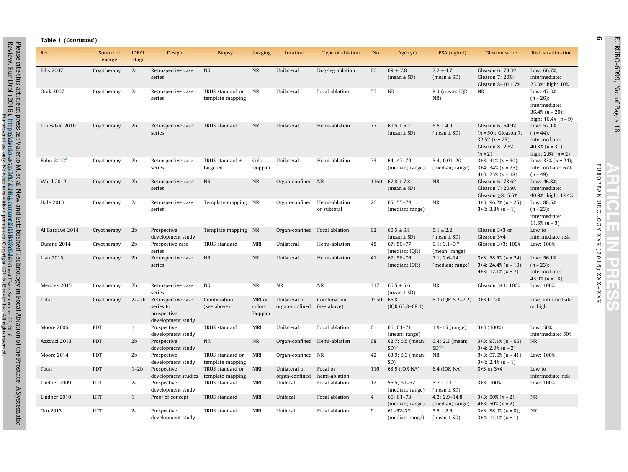|  | Table 1 (Continued) |
|--|---------------------|
|--|---------------------|

Please

Review.

Eur Urol

(2016),

cite this

article in press as:

Valerio

 $\Xi$ et al. New and

Established

<http://dx.doi.org/10.1016/j.eururo.2016.08.044> Downloaded from ClinicalKey.com at ClinicalKey Global Guest Users September 22, 2016. For personal use only. No other uses without permission. Copyright ©2016. Elsevier Inc. All rights reserved.

Technology

in Focal

Ablation

of the

Prostate:

A

Systematic

| Ref.                   | Source of<br>energy | <b>IDEAL</b><br>stage | Design                                                              | <b>Biopsy</b>                        | Imaging                     | Location                                      | Type of ablation           | No.            | Age $(yr)$                               | $PSA$ ( $ng/ml$ )                      | Gleason score                                                                                     | <b>Risk stratification</b>                                                                     |
|------------------------|---------------------|-----------------------|---------------------------------------------------------------------|--------------------------------------|-----------------------------|-----------------------------------------------|----------------------------|----------------|------------------------------------------|----------------------------------------|---------------------------------------------------------------------------------------------------|------------------------------------------------------------------------------------------------|
| <b>Ellis 2007</b>      | Cryotherapy         | 2a                    | Retrospective case<br>series                                        | <b>NR</b>                            | <b>NR</b>                   | Unilateral                                    | Dog-leg ablation           | 60             | $69 \pm 7.8$<br>$(mean \pm SD)$          | $7.2 \pm 4.7$<br>$(mean \pm SD)$       | Gleason 6: 78.3%;<br>Gleason 7: 20%;<br>Gleason 8-10 1.7%                                         | Low: 66.7%;<br>intermediate:<br>23.3%; high: 10%                                               |
| <b>Onik 2007</b>       | Cryotherapy         | 2a                    | Retrospective case<br>series                                        | TRUS standard or<br>template mapping | NR                          | Unilateral                                    | Focal ablation             | 55             | <b>NR</b>                                | 8.3 (mean; IQR<br>NR)                  | NR                                                                                                | Low: 47.3%<br>$(n = 26);$<br>intermediate:<br>$36.4\%$ (n = 20);<br>high: $16.4\%$ $(n = 9)$   |
| Truesdale 2010         | Cryotherapy         | 2 <sub>b</sub>        | Retrospective case<br>series                                        | TRUS standard                        | <b>NR</b>                   | Unilateral                                    | Hemi-ablation              | 77             | $69.5 \pm 6.7$<br>$(mean \pm SD)$        | $6.5 \pm 4.9$<br>$(mean \pm SD)$       | Gleason 6: 64.9%<br>$(n = 50)$ ; Gleason 7:<br>$32.5\%$ (n = 25);<br>Gleason 8: 2.6%<br>$(n = 2)$ | Low: 57.1%<br>$(n = 44)$ ;<br>intermediate:<br>40.3% $(n = 31)$ ;<br>high: $2.6\%$ ( $n = 2$ ) |
| Bahn 2012 <sup>a</sup> | Cryotherapy         | 2 <sub>b</sub>        | Retrospective case<br>series                                        | TRUS standard +<br>targeted          | Color-<br>Doppler           | Unilateral                                    | Hemi-ablation              | 73             | 64; 47-79<br>(median; range)             | $5.4; 0.01 - 20$<br>(median; range)    | $3+3$ : 41% (n = 30);<br>$3+4$ : 34% (n = 25);<br>$4+3$ : 25% (n = 18)                            | Low: $33\%$ (n = 24);<br>intermediate: 67%<br>$(n = 49)$                                       |
| <b>Ward 2012</b>       | Cryotherapy         | 2 <sub>b</sub>        | Retrospective case<br>series                                        | <b>NR</b>                            | <b>NR</b>                   | Organ-confined NR                             |                            |                | $1160$ $67.8 \pm 7.8$<br>$(mean \pm SD)$ | <b>NR</b>                              | Gleason 6: 73.6%;<br>Gleason 7: 20.9%;<br>Gleason $\geq$ 8: 5.6%                                  | Low: 46.8%;<br>intermediate:<br>40.9%; high: 12.4%                                             |
| Hale 2013              | Cryotherapy         | 2a                    | Retrospective case<br>series                                        | Template mapping NR                  |                             | Organ-confined Hemi-ablation                  | or subtotal                | 26             | 65; 55-74<br>(median; range)             | NR                                     | $3+3$ : 96.2% (n = 25);<br>$3+4$ : 3.8% $(n = 1)$                                                 | Low: 88.5%<br>$(n = 23)$ ;<br>intermediate:<br>$11.5\% (n = 3)$                                |
| Al Barqawi 2014        | Cryotherapy         | 2 <sub>b</sub>        | Prospective<br>development study                                    | Template mapping NR                  |                             | Organ-confined Focal ablation                 |                            | 62             | $60.5 \pm 6.8$<br>$(mean \pm SD)$        | $5.1 \pm 2.2$<br>$(mean \pm SD)$       | Gleason 3+3 or<br>Gleason 3+4                                                                     | Low to<br>intermediate risk                                                                    |
| Durand 2014            | Cryotherapy         | 2 <sub>b</sub>        | Prospective case<br>series                                          | TRUS standard                        | <b>MRI</b>                  | Unilateral                                    | Hemi-ablation              | 48             | 67; 50-77<br>(median; IQR)               | $6.1; 3.1 - 9.7$<br>(mean; range)      | Gleason 3+3: 100%                                                                                 | Low: 100%                                                                                      |
| <b>Lian 2015</b>       | Cryotherapy         | 2 <sub>b</sub>        | Retrospective case<br>series                                        | NR                                   | <b>NR</b>                   | Unilateral                                    | Hemi-ablation              | 41             | $67; 56-76$<br>(median; IQR)             | $7.1; 2.6 - 14.1$<br>(median; range)   | $3+3$ : 58.5% (n = 24);<br>$3+4$ : 24.4% $(n = 10)$ ;<br>$4+3: 17.1\% (n = 7)$                    | Low: 56.1%<br>$(n = 23)$ ;<br>intermediate:<br>$43.9\%$ (n = 18)                               |
| Mendez 2015            | Cryotherapy         | 2 <sub>b</sub>        | Retrospective case<br>series                                        | NR                                   | NR                          | NR                                            | <b>NR</b>                  | 317            | $66.5 \pm 6.6$<br>$(mean \pm SD)$        | NR                                     | Gleason 3+3: 100%                                                                                 | Low: 100%                                                                                      |
| Total                  | Cryotherapy         | $2a-2b$               | Retrospective case<br>series to<br>prospective<br>development study | Combination<br>(see above)           | MRI or<br>color-<br>Doppler | Unilateral or<br>organ-confined               | Combination<br>(see above) | 1950 66.8      | $( IQR 63.8 - 68.1 )$                    | 6.3 (IQR 5.2-7.2) 3+3 to $\geq$ 8      |                                                                                                   | Low, intermediate<br>or high                                                                   |
| Moore 2006             | PDT                 | 1                     | Prospective<br>development study                                    | TRUS standard                        | <b>MRI</b>                  | Unilateral                                    | Focal ablation             | 6              | $66:61-71$<br>(mean; range)              | $1.9 - 15$ (range)                     | $3+3(100\%)$                                                                                      | Low: 50%:<br>intermediate: 50%                                                                 |
| Azzouzi 2013           | <b>PDT</b>          | 2 <sub>b</sub>        | Prospective<br>development study                                    | <b>NR</b>                            | <b>NR</b>                   | Organ-confined Hemi-ablation                  |                            | 68             | 62.7; 5.5 (mean;<br>SD) <sup>b</sup>     | $6.4$ ; 2.3 (mean;<br>SD) <sup>b</sup> | $3+3$ : 97.1% (n = 66);<br>$3+4$ : 2.9% $(n = 2)$                                                 | <b>NR</b>                                                                                      |
| Moore 2014             | PDT                 | 2 <sub>b</sub>        | Prospective<br>development study                                    | TRUS standard or<br>template mapping | MRI                         | Organ-confined NR                             |                            | 42             | 63.9; 5.3 (mean;<br>SD)                  | <b>NR</b>                              | $3+3$ : 97.6% $(n = 41)$ ;<br>$3+4$ : 2.4% $(n = 1)$                                              | Low: 100%                                                                                      |
| Total                  | PDT                 | $1-2b$                | Prospective<br>development studies                                  | TRUS standard or<br>template mapping | <b>MRI</b>                  | Unilateral or<br>organ-confined hemi-ablation | Focal or                   | 116            | 63.9 (IQR NA)                            | 6.4 (IQR NA)                           | $3+3$ or $3+4$                                                                                    | Low to<br>intermediate risk                                                                    |
| Lindner 2009           | <b>LITT</b>         | 2a                    | Prospective<br>development study                                    | TRUS standard                        | <b>MRI</b>                  | Unifocal                                      | Focal ablation             | 12             | $56.5; 51-52$<br>(median; range)         | $5.7 \pm 1.1$<br>$mean \pm SD$         | $3+3:100%$                                                                                        | Low: 100%                                                                                      |
| Lindner 2010           | <b>LITT</b>         | $\mathbf{1}$          | Proof of concept                                                    | TRUS standard                        | <b>MRI</b>                  | Unifocal                                      | Focal ablation             | $\overline{4}$ | $66; 61-73$<br>(median; range)           | $4.2; 2.9 - 14.8$<br>(median; range)   | $3+3:50\%$ $(n = 2);$<br>$4+3:50\% (n=2)$                                                         | <b>NR</b>                                                                                      |
| Oto 2013               | <b>LITT</b>         | 2a                    | Prospective<br>development study                                    | TRUS standard                        | <b>MRI</b>                  | Unifocal                                      | Focal ablation             | 9              | $61 - 52 - 77$<br>(median-range)         | $5.5 \pm 2.6$<br>$(mean \pm SD)$       | $3+3: 88.9% (n = 8);$<br>$3+4$ : 11.1% $(n = 1)$                                                  | NR                                                                                             |

X 6 E U R O P E A N  $\mathbf{E}$ **RTICI** U R O L O G Y X X X ( 2 0 1 6 ) X X X – X X LE IN PRESS

 $\bullet$ 

EURURO-6999;

No. ą Pages  $\approx$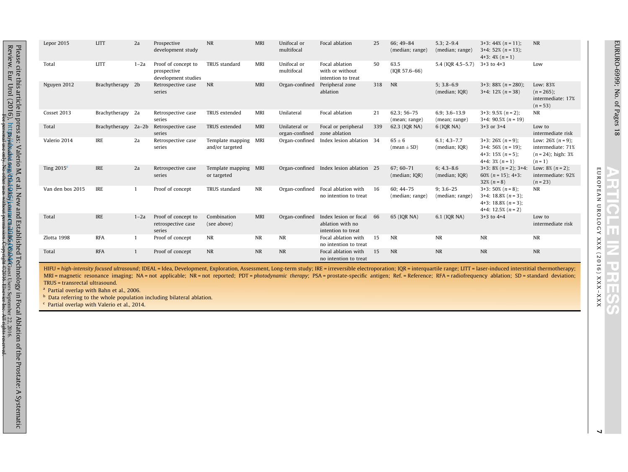<span id="page-6-0"></span>

| Lepor 2015       | <b>LITT</b>      | 2a           | Prospective<br>development study                          | <b>NR</b>                           | <b>MRI</b> | Unifocal or<br>multifocal       | Focal ablation                                                  | 25   | 66; 49-84<br>(median; range)   | $5.3; 2 - 9.4$<br>(median; range)  | $3+3$ : 44% (n = 11);<br>$3+4$ : 52% (n = 13);<br>$4+3$ : 4% $(n = 1)$                                 | <b>NR</b>                                                                        |
|------------------|------------------|--------------|-----------------------------------------------------------|-------------------------------------|------------|---------------------------------|-----------------------------------------------------------------|------|--------------------------------|------------------------------------|--------------------------------------------------------------------------------------------------------|----------------------------------------------------------------------------------|
| Total            | <b>LITT</b>      | $1-2a$       | Proof of concept to<br>prospective<br>development studies | TRUS standard                       | MRI        | Unifocal or<br>multifocal       | Focal ablation<br>with or without<br>intention to treat         | 50   | 63.5<br>$(IOR 57.6-66)$        | $5.4$ (IQR 4.5-5.7)                | $3+3$ to $4+3$                                                                                         | Low                                                                              |
| Nguyen 2012      | Brachytherapy 2b |              | Retrospective case<br>series                              | <b>NR</b>                           | <b>MRI</b> | Organ-confined                  | Peripheral zone<br>ablation                                     | 318  | NR                             | $5:3.8-6.9$<br>(median; IQR)       | $3+3$ : 88% (n = 280);<br>$3+4$ : 12% (n = 38)                                                         | Low: 83%<br>$(n = 265)$ ;<br>intermediate: 17%<br>$(n = 53)$                     |
| Cosset 2013      | Brachytherapy 2a |              | Retrospective case<br>series                              | TRUS extended                       | MRI        | Unilateral                      | Focal ablation                                                  | 21   | $62.3; 56-75$<br>(mean; range) | $6.9; 3.6 - 13.9$<br>(mean; range) | $3+3$ : 9.5% $(n = 2)$ ;<br>$3+4$ : 90.5% ( $n = 19$ )                                                 | NR                                                                               |
| Total            | Brachytherapy    | $2a-2b$      | Retrospective case<br>series                              | TRUS extended                       | MRI        | Unilateral or<br>organ-confined | Focal or peripheral<br>zone ablation                            | 339  | 62.3 (IQR NA)                  | $6$ (IQR NA)                       | $3+3$ or $3+4$                                                                                         | Low to<br>intermediate risk                                                      |
| Valerio 2014     | IRE              | 2a           | Retrospective case<br>series                              | Template mapping<br>and/or targeted | MRI        | Organ-confined                  | Index lesion ablation 34                                        |      | $65 \pm 6$<br>$(mean \pm SD)$  | $6.1; 4.3 - 7.7$<br>(median; IQR)  | $3+3$ : 26% $(n=9)$ ;<br>$3+4$ : 56% (n = 19);<br>$4+3$ : 15% (n = 5);<br>$4+4$ : 3% $(n = 1)$         | Low: $26\%$ $(n = 9)$ ;<br>intermediate: 71%<br>$(n = 24)$ ; high: 3%<br>$(n=1)$ |
| Ting $2015c$     | <b>IRE</b>       | 2a           | Retrospective case<br>series                              | Template mapping<br>or targeted     | MRI        |                                 | Organ-confined Index lesion ablation 25                         |      | $67:60 - 71$<br>(median; IQR)  | $6: 4.3 - 8.6$<br>(median; IQR)    | $3+3$ : 8% $(n = 2)$ ; 3+4:<br>60% $(n = 15)$ ; 4+3;<br>$32\% (n=8)$                                   | Low: $8\%$ $(n = 2)$ ;<br>intermediate: 92%<br>$(n = 23)$                        |
| Van den bos 2015 | <b>IRE</b>       |              | Proof of concept                                          | TRUS standard                       | <b>NR</b>  | Organ-confined                  | Focal ablation with<br>no intention to treat                    | 16   | $60; 44-75$<br>(median; range) | $9:3.6-25$<br>(median; range)      | $3+3$ : 50% (n = 8);<br>$3+4$ : 18.8% $(n = 3)$ ;<br>4+3: 18.8% $(n = 3)$ ;<br>4+4: $12.5\%$ $(n = 2)$ | <b>NR</b>                                                                        |
| Total            | <b>IRE</b>       | $1-2a$       | Proof of concept to<br>retrospective case<br>series       | Combination<br>(see above)          | <b>MRI</b> | Organ-confined                  | Index lesion or focal<br>ablation with no<br>intention to treat | - 66 | 65 (IQR NA)                    | 6.1 (IQR NA)                       | $3+3$ to $4+4$                                                                                         | Low to<br>intermediate risk                                                      |
| Zlotta 1998      | <b>RFA</b>       |              | Proof of concept                                          | <b>NR</b>                           | <b>NR</b>  | <b>NR</b>                       | Focal ablation with<br>no intention to treat                    | 15   | <b>NR</b>                      | NR                                 | <b>NR</b>                                                                                              | <b>NR</b>                                                                        |
| Total            | <b>RFA</b>       | $\mathbf{1}$ | Proof of concept                                          | <b>NR</b>                           | <b>NR</b>  | <b>NR</b>                       | Focal ablation with<br>no intention to treat                    | 15   | <b>NR</b>                      | <b>NR</b>                          | NR                                                                                                     | <b>NR</b>                                                                        |

HIFU = high-intensity focused ultrasound; IDEAL = Idea, Development, Exploration, Assessment, Long-term study; IRE = irreversible electroporation; IQR = interquartile range; LITT = laser-induced interstitial thermotherapy; MRI = magnetic resonance imaging; NA = not applicable; NR = not reported; PDT = photodynamic therapy; PSA = prostate-specific antigen; Ref. = Reference; RFA = radiofrequency ablation; SD = standard deviation; TRUS = transrectal ultrasound.

<sup>a</sup> Partial overlap with Bahn et al., 2006.

**b** Data referring to the whole population including bilateral ablation.

<sup>c</sup> Partial overlap with Valerio et al., 2014.

 $\overline{\phantom{0}}$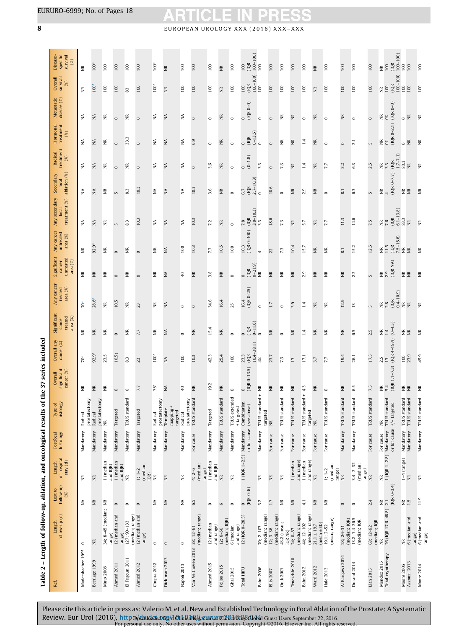#### B  $\Delta$ P E

#### EUROPEAN UROLOGY XXX (2016) XXX-XXX

<span id="page-7-0"></span>

| Table 2                          | - Length of follow-up, ablation, and oncological results of |                                |                                          |                           |                                                    | the 37 series included               |                                         |                                                                         |                                      |                                                        |                                        |                                         |                                       |                                       |                                |                                                                                       |                                              |                                        |
|----------------------------------|-------------------------------------------------------------|--------------------------------|------------------------------------------|---------------------------|----------------------------------------------------|--------------------------------------|-----------------------------------------|-------------------------------------------------------------------------|--------------------------------------|--------------------------------------------------------|----------------------------------------|-----------------------------------------|---------------------------------------|---------------------------------------|--------------------------------|---------------------------------------------------------------------------------------|----------------------------------------------|----------------------------------------|
| Ref.                             | follow-up (d)<br>Length                                     | follow-up<br>Lost to<br>$(\%)$ | of hospital<br>stay (d)<br>Length        | Postfocal<br>histology    | Type of<br>histology                               | significant<br>cancer (%)<br>Overall | Overall any<br>cancer $(\%)$<br>Overall | Significant<br>treated<br>$\arctan\left(\frac{\pi}{6}\right)$<br>cancer | Any cancer<br>area $(\%)$<br>treated | Significant<br>${\bf untreated}$ area $(\%)$<br>cancer | Any cancer<br>untreated<br>area $(\%)$ | Any secondary<br>treatment (%)<br>local | ablation (%)<br>Secondary<br>focal    | treatment<br>Radical<br>$\mathcal{E}$ | treatment<br>Hormona<br>$(\%)$ | $\begin{array}{ll} \textbf{Metastatic} \\ \textbf{disease (}\textbf{\%}) \end{array}$ | survival<br>Overall<br>$(\%)$                | specific<br>survival $(3)$<br>Disease- |
| Madersbacher 1995                | $\circ$                                                     | ₹                              | ž                                        | Mandatory                 | prostatectomy<br>Radical                           | ž                                    | 70 <sup>a</sup>                         | $\widetilde{\Xi}$                                                       | 70 <sup>a</sup>                      | $\widetilde{\Xi}$                                      | $\widetilde{\Xi}$                      | ≨                                       | ≨                                     | ≨                                     | ≨                              | $\tilde{z}$                                                                           | $\widetilde{\Xi}$                            | $\widetilde{\mathbf{z}}$               |
| Beerlage 1999                    | $\widetilde{\Xi}$                                           | $\widetilde{\Xi}$              | $\widetilde{\simeq}$                     | Mandatory                 | prostatectomy<br>Radical                           | $\widetilde{\Xi}$                    | 92.9 <sup>2</sup>                       | $\widetilde{\mathbf{z}}$                                                | $28.6^{a}$                           | $\widetilde{\mathbf{K}}$                               | 92.9 <sup>2</sup>                      | $\leq$                                  | ₹                                     | $\leq$                                | ₹                              | $\lesssim$                                                                            | 100 <sup>2</sup>                             | 100 <sup>3</sup>                       |
| Muto 2008                        | 34; 8-45 (median;                                           | ž                              | 1 (median                                | Mandatory                 | $\widetilde{\Xi}$                                  | ž                                    | 23.5                                    | $\widetilde{\Xi}$                                                       | ž                                    | ž                                                      | ž                                      | $\widetilde{\Xi}$                       | ž                                     | ž                                     | ž                              | ž                                                                                     | $\frac{8}{1}$                                | $\overline{5}$                         |
| Ahmed 2011                       | range)<br>12 (median and<br>range)                          | $\circ$                        | and IQR)<br>1 (median<br>and IQR)<br>NR  | Mandatory                 | Targeted                                           | $\circ$                              | $\circ$<br>10.5)                        |                                                                         | 10.5                                 | $\circ$                                                | $\circ$                                | S                                       | $\mathsf{L}$                          | $\circ$                               | $\circ$                        | $\circ$                                                                               | 100                                          | 100                                    |
| El Fegoun 2011                   | (median; range)<br>127; 90-133                              | $\circ$                        |                                          | Mandatory                 | TRUS standard                                      | $\circ$                              | $\frac{3}{2}$                           | ã                                                                       | $\widetilde{\Xi}$                    | ã                                                      | ž                                      | $^{3}$                                  | $\frac{3}{2}$                         | ž                                     | 33.3                           | ã                                                                                     | $\boldsymbol{\mathbb{S}}$                    | $\overline{0}$                         |
| Ahmed 2012                       | 12 (median and<br>range)                                    | $\circ$                        | (median;<br>$1: 1-2$<br>IQR)             | Mandatory                 | Targeted                                           | 7.7                                  | 23                                      | 7.7                                                                     | 23                                   | $\circ$                                                | $\circ$                                | 10.3                                    | 10.3                                  | $\circ$                               | $\circ$                        | $\circ$                                                                               | 100                                          | 100                                    |
| Chopra 2012                      | $\circ$                                                     | ₹                              | $\widetilde{\Xi}$                        | Mandatory                 | Radical                                            | 75°                                  | 100 <sup>a</sup>                        | $\widetilde{\Xi}$                                                       | $\widetilde{\Xi}$                    | ã                                                      | $\widetilde{\Xi}$                      | ≨                                       | ₹                                     | ₹                                     | ₹                              | ≨                                                                                     | 100 <sup>a</sup>                             | 100 <sup>a</sup>                       |
| Dickinson 2013                   | $\circ$                                                     | $\lessapprox$                  | χŘ                                       | Mandatory                 | prostatectomy<br>Template<br>mapping +<br>targeted | ₹                                    | $\lessapprox$                           | $\lesssim$                                                              | $\lessapprox$                        | $\stackrel{\triangle}{\geq}$                           | $\lessgtr$                             | $\lessapprox$                           | $\leq$                                | ₹                                     | ₹                              | $\lesssim$                                                                            | $\widetilde{\Xi}$                            | ΝK                                     |
| Napoli 2013                      | $\circ$                                                     | ≨                              | Ξ                                        | Mandatory                 | Radical                                            | $\overline{a}$                       | $\circ$<br>100                          | $\circ$                                                                 |                                      | $\overline{a}$                                         | 100                                    | ≨                                       | ≨                                     | ≨                                     | ≨                              | ≨                                                                                     | 100                                          | $\overline{100}$                       |
| Van Velthoven 2013 38; 12-61     | (median; range)                                             | 6.5                            | (median;<br>$4; 2 - 6$<br>${\tt range})$ | For cause                 | prostatectomy<br>TRUS standard                     | $\widetilde{\Xi}$                    | 10.3                                    | $\widetilde{\simeq}$                                                    | $\circ$                              | $\approx$                                              | 10.3                                   | 10.3                                    | 10.3                                  | $\circ$                               | 6.9                            | $\circ$                                                                               | 100                                          | $\overline{100}$                       |
| Ahmed 2015                       | $12$ (median<br>and range) $\,$                             | $\circ$                        | $1$ (median<br>and IQR)                  | Mandatory                 | Targeted                                           | 19.2                                 | 42.3                                    | 15.4                                                                    | 34.6                                 | 3.8                                                    | 7.7                                    | 7.2                                     | 3.6                                   | 3.6                                   | $\circ$                        | $\circ$                                                                               | $\frac{8}{100}$                              | 100                                    |
| Feijoo 2015                      | $12; 6 - 50$<br>(median; IQR)                               | $\mathbf \circ$                | $\widetilde{\mathbf{K}}$                 | Mandatory                 | TRUS standard                                      | $\widetilde{\Xi}$                    | 25.4                                    | $\widetilde{\mathbf{K}}$                                                | 16.4                                 | $\widetilde{\mathbf{z}}$                               | 10.5                                   | $\widetilde{\Xi}$                       | Ĕ                                     | $\widetilde{\Xi}$                     | $\widetilde{\Xi}$              | $\widetilde{\approx}$                                                                 | $\widetilde{\mathbf{z}}$                     | $\widetilde{\mathbf{z}}$               |
| Ghai 2015                        | and range)<br>6 (median                                     | $\circ$                        | $\widetilde{\Xi}$                        | Mandatory                 | TRUS extended<br>+ targeted                        | $\circ$                              | $\circ$<br>100                          |                                                                         | 25                                   | $\circ$                                                | 100                                    | $\circ$                                 | $\circ$<br>$\circ$                    |                                       | $\circ$                        | $\circ$                                                                               | $\overline{5}$                               | $\frac{8}{2}$                          |
| Total HIFU                       | 12 (IQR 0-28.5)                                             | $(1QR 0-6)$<br>$\circ$         | $1(1QR 1-2.5)$                           | or for cause<br>Mandatory | Combination<br>(see above)                         | $(0 - 13.5)$<br>(IQR<br>$\circ$      | $\circ$<br>23.3<br>(IQR                 | (IQR                                                                    | $(1QR 0 - 25)$<br>16.4               | $0 - 21.9$<br>(IQR<br>$\circ$                          | $(1QR 0 - 100)$<br>10.3                | $(1QR$<br>3.8-10.3)<br>3.3<br>7.8       | $\circ$<br>$(1QR$<br>2.7-10.3)<br>6.7 | $(0 - 1.8)$                           | $(1QR$<br>0-13.5)<br>$\circ$   | $(1QR 0 - 0)$<br>$\circ$                                                              | 100<br>$(10R$<br>$100-1$<br>100              | $(1QR$<br>100–100)<br>100<br>100       |
| Bahn 2006                        | (median; range)<br>70; 2-10;                                | 3.2                            | ã                                        | Mandatory                 | $\qquad \qquad +$<br>짇<br>TRUS standar<br>targeted | ž                                    | $\frac{10.4 - 38.1}{4%}$                | $\frac{0-11.6}{0}$                                                      | $\circ$                              | ΣŘ                                                     | 4                                      |                                         |                                       | 3.3                                   |                                | $\circ$                                                                               |                                              |                                        |
| Ellis 2007                       | (median; range)<br>$12:3-36$                                | $1.7\,$                        | $\widetilde{\mathbf{z}}$                 | For cause                 | $\widetilde{\Xi}$                                  | $\widetilde{\Xi}$                    | 23.7                                    | ΣŘ                                                                      | $\overline{17}$                      | ΣŘ                                                     | 22                                     | 18.6                                    | $\circ$<br>18.6                       |                                       | $\circ$                        | $\circ$                                                                               | 100                                          | 100                                    |
| <b>Onik 2007</b>                 | 43.2 (mean;<br>IQR NR)                                      | $\widetilde{\Xi}$              | ΣŘ                                       | For cause                 | TRUS standard                                      | ž                                    | $\circ$<br>$73$                         |                                                                         | $\circ$                              | ΣŘ                                                     | 73                                     | 73                                      | $\circ$                               | 73                                    | Ĕ                              | ž                                                                                     | $\overline{100}$                             | $\overline{5}$                         |
| Truesdale 2010                   | 24; 0-87                                                    | $\widetilde{\Xi}$              | and range)<br>1 (median                  | For cause                 | TRUS standard                                      | $\widetilde{\Xi}$                    | $\overline{1}3$                         | $\widetilde{\mathbf{z}}$                                                | 3.9                                  | $\widetilde{\approx}$                                  | 10.4                                   | $\widetilde{\Xi}$                       | $\widetilde{\Xi}$                     | $\widetilde{\Xi}$                     | $\widetilde{\Xi}$              | ξ                                                                                     | $\overline{5}$                               | $\overline{5}$                         |
| <b>Bahn 2012</b>                 | $(median; range)$<br>$44; 12-102$<br>(median; range)        | 4.1                            | and range)<br>1 (median                  | For cause                 | $\pm$<br>TRUS standard<br>targeted                 | $\frac{3}{4}$                        | 17,1                                    | 1.4                                                                     | 1.4                                  | 2.9                                                    | 15.7                                   | 5.7                                     | 2.9                                   | 1.4                                   | 1.4                            | $\circ$                                                                               | 100                                          | 100                                    |
| Ward 2012                        | $(mean \pm SD)$<br>$21.1 \pm 19.7$                          | $\widetilde{\Xi}$              | ΙŘ                                       | For cause                 | $\widetilde{\Xi}$                                  | ž                                    | $3.7\,$                                 | $\widetilde{\mathbf{z}}$                                                | $\widetilde{\Xi}$                    | $\widetilde{\Xi}$                                      | $\widetilde{\Xi}$                      | $\widetilde{\Xi}$                       | Ĕ                                     | $\widetilde{\Xi}$                     | E                              | $\widetilde{\mathbf{z}}$                                                              | $\widetilde{\simeq}$                         | $\widetilde{\mathbf{z}}$               |
| Hale 2013                        | (mean; range)<br>$19.1; 2 - 52$                             | ž                              | $1: 1-2$<br>(median:<br>range)           | For cause                 | TRUS standard                                      | $\circ$                              | 7.7                                     | $\widetilde{\Xi}$                                                       | ž                                    | ž                                                      | $\widetilde{\Xi}$                      | 7.7                                     | $\circ$                               | 7.7                                   | $\circ$                        | $\circ$                                                                               | $^{100}$                                     | $\frac{8}{2}$                          |
| Al Barqawi 2014                  | $28; 26-31$<br>(median; IQR)<br>13.2; 7.4-26.5              | $\circ$                        | $\widetilde{\simeq}$                     | Mandatory                 | TRUS standard                                      | $\widetilde{\Xi}$                    | 19.4                                    | $\widetilde{\mathbf{z}}$                                                | 12.9                                 | $\widetilde{\mathbf{z}}$                               | 8.1                                    | $11.3\,$                                | $\overline{81}$                       | 3.2                                   | $\circ$                        | $\widetilde{\mathbf{z}}$                                                              | 100                                          | 100                                    |
| Durand 2014                      | (median; IQR                                                | $\circ$                        | $3.4; 2 - 32$<br>(median;<br>range)      | Mandatory                 | TRUS standard                                      | 6.5                                  | 26.1                                    | 6.5                                                                     | $\mathbf{r}$                         | 2.2                                                    | 15.2                                   | 14.6                                    | 3                                     | 63                                    | $\overline{z}$                 | $\circ$                                                                               | $\frac{8}{100}$                              | $\frac{8}{2}$                          |
| Lian 2015                        | (median; IQR<br>63; 12-92                                   | 2.4                            | ΣŘ                                       | For cause                 | TRUS standard                                      | 7.5                                  | 17.5                                    | 2.5                                                                     | $\mathfrak{m}$                       | S                                                      | 12.5                                   | 7.5                                     | $\mathsf{L}$                          | 2.5                                   | $\mathsf{L}$                   | $\circ$                                                                               | 100                                          | 100                                    |
| Total cryotherapy<br>Mendez 2015 | 26 (IQR 17.6-48.8)<br>$\widetilde{\Xi}$                     | ž                              | $1(1QR 1-2.8)$<br>ΣŘ                     | For cause<br>Mandatory    | NR<br>TRUS standard                                | ž<br>5.4                             | $2.5$<br>13                             | $\widetilde{\Xi}$<br>$\overline{14}$                                    | $M\approx 2.8$                       | $N = 2.9$                                              | 11.5<br>ž                              | <b>NR</b> 7.6                           | Ĕ<br>$\downarrow$                     |                                       | ž<br>$0\%$                     | ã<br>$0\%$                                                                            |                                              |                                        |
|                                  |                                                             | $2.1$<br>(1QR 0-3.4)           |                                          | or for cause              | +/- targeted                                       | $1.1 - 7.3$<br>(1QR)                 | $-19.4$<br>(1QR)                        | $(0 - 4.5)$                                                             | $(1QR$<br>0.4-10.9)<br>NR            | $\rm \stackrel{(NA)}{}$<br>(IQR                        | $(1QR$<br>7.5–15.6)<br>NR              | $(1QR$<br>6.1-13.8)                     | $(1QR 0-7.7)$                         | NR<br>3.3<br>1.7-7.<br>1.7-7.         | $0 - 2.1$<br>(1QR)             | $0 - 0$<br>(1QR)                                                                      | 100<br><b>E 00 00-1</b><br>100 00-1<br>100-1 | NR<br>100<br>100–100)<br>100–100)      |
| Azzouzi 2013<br>Moore 2006       | 6 (median and<br>ž                                          | $\widetilde{E}$ .:             | $1-4$ (range)<br>NR                      | Mandatory<br>Mandatory    | TRUS standard<br>TRUS standard                     | <b>NE</b>                            | 23.9<br>100                             | $\widetilde{\Xi}$ $\widetilde{\Xi}$                                     | $\widetilde{\Xi}$                    | $\widetilde{\Xi}$ $\widetilde{\Xi}$                    |                                        | 83.3<br>$\widetilde{\Xi}$               | $\widetilde{\Xi}$                     | 83.3<br>E                             | $\widetilde{\Xi}$<br>$\circ$   | $\circ$ $\tilde{z}$                                                                   | 100                                          | 100                                    |
| Moore 2014                       | 6 (median and<br>range)<br>range)                           | 11.9                           | ΣŘ                                       |                           | 짇<br>Mandatory TRUS standar                        | ž                                    | 45.9                                    | $\widetilde{\Xi}$                                                       | $\widetilde{\Xi}$                    | $\widetilde{\Xi}$                                      | ž                                      | $\widetilde{\Xi}$                       | ž                                     | ž                                     | ž                              | ã                                                                                     | 100                                          | $\frac{8}{100}$                        |

Please cite this article in press as: Valerio M, et al. New and Established Technology in Focal Ablation of the Prostate: A Systematic Review. Eur Urol (2016), http1)6dxi6dadeonghl OtihQalR6ycomurChicakR6yCO6bal Guest Users September 22, 2016.<br>For personal use only. No other uses without permission. Copyright ©2016. Elsevier Inc. All rights reserved.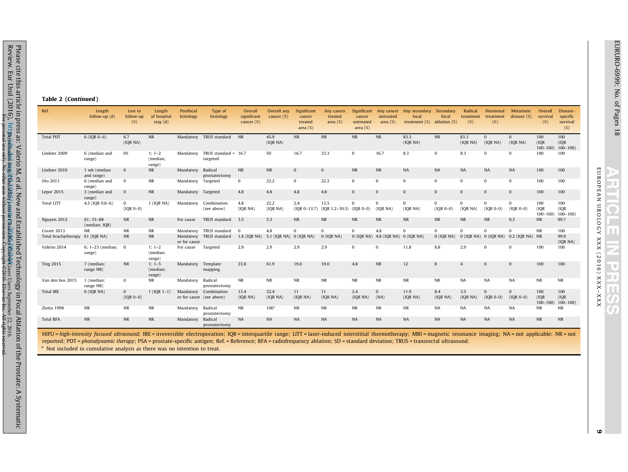Table 2 (Continued )

Please

<span id="page-8-0"></span>Review.

Eur Urol

(2016),

cite this

article in press as:

Valerio

 $\Xi$ et al. New and

Established

htt py/dikaded frog/d\finical Key/com au ClinicalKey Global Guest Users September 22, 2016. For personal use only. No other uses without permission. Copyright ©2016. Elsevier Inc. All rights reserved.

Technology

in Focal

Ablation

of the

Prostate:

A

Systematic

| Ref.                | Length                           | Lost to                     | Length                         | Postfocal                 | Type of                                           | Overall                      | Overall any      | Significant       | Any cancer                                          | Significant         |                         | Any cancer Any secondary                  | Secondary               | Radical                  | Hormonal                  | Metastatic                  | Overall                           | Disease-                                |
|---------------------|----------------------------------|-----------------------------|--------------------------------|---------------------------|---------------------------------------------------|------------------------------|------------------|-------------------|-----------------------------------------------------|---------------------|-------------------------|-------------------------------------------|-------------------------|--------------------------|---------------------------|-----------------------------|-----------------------------------|-----------------------------------------|
|                     | follow-up $(d)$                  | follow-up<br>(%)            | of hospital<br>stay(d)         | histology                 | histology                                         | significant<br>cancer $(\%)$ | cancer (%)       | cancer<br>treated | treated<br>area $(\%)$                              | cancer<br>untreated | untreated<br>area (%)   | local<br>treatment $(\%)$ ablation $(\%)$ | focal                   | treatment<br>(%)         | treatment<br>(%)          | disease $(\%)$              | survival<br>(%)                   | specific<br>survival                    |
|                     |                                  |                             |                                |                           |                                                   |                              |                  | area $(\%)$       |                                                     | area $(\%)$         |                         |                                           |                         |                          |                           |                             |                                   | (%)                                     |
| Total PDT           | $6 (IQR 6-6)$                    | 6.7<br>(IQR NA)             | <b>NR</b>                      | Mandatory                 | TRUS standard NR                                  |                              | 45.9<br>(IQR NA) | <b>NR</b>         | <b>NR</b>                                           | <b>NR</b>           | <b>NR</b>               | 83.3<br>(IQR NA)                          | <b>NR</b>               | 83.3<br>(IQR NA)         | $\Omega$<br>(IQR NA)      | $\Omega$<br>(IQR NA)        | 100<br>(IOR)                      | 100<br>(IQR)<br>$100-100$ ) $100-100$ ) |
| Lindner 2009        | 6 (median and<br>range)          | 0%                          | $1: 1-2$<br>(median;<br>range) | Mandatory                 | TRUS standard + 16.7<br>targeted                  |                              | 50               | 16.7              | 33.3                                                | $\mathbf{0}$        | 16.7                    | 8.3                                       | $\mathbf{0}$            | 8.3                      | $\Omega$                  | $\mathbf{0}$                | 100                               | 100                                     |
| Lindner 2010        | 1 wk (median<br>and range)       | $\mathbf{0}$                | <b>NR</b>                      | Mandatory                 | Radical<br>prostatectomy                          | <b>NR</b>                    | <b>NR</b>        | $\bf{0}$          | $\bf{0}$                                            | <b>NR</b>           | <b>NR</b>               | <b>NA</b>                                 | NA                      | <b>NA</b>                | NA                        | NA                          | 100                               | 100                                     |
| Oto 2013            | 6 (median and<br>range)          | $\mathbf{0}$                | NR                             | Mandatory                 | Targeted                                          | $\mathbf{0}$                 | 22.2             | $\bf{0}$          | 22.2                                                | $\bf{0}$            | $\bf{0}$                | $\bf{0}$                                  | $\mathbf{0}$            | $\bf{0}$                 | $\mathbf{0}$              | $\bf{0}$                    | 100                               | 100                                     |
| Lepor 2015          | 3 (median and<br>range)          | $\Omega$                    | <b>NR</b>                      | Mandatory                 | Targeted                                          | 4.8                          | 4.8              | 4.8               | 4.8                                                 | $\mathbf{0}$        | $\mathbf{0}$            | $\mathbf{0}$                              | $\overline{0}$          | $\mathbf{0}$             | $\mathbf{0}$              | $\mathbf{0}$                | 100                               | 100                                     |
| Total LITT          | 4.5 (IQR 0.8-6)                  | $\bf{0}$<br>$(IQR 0-0)$     | 1 (IQR NA)                     | Mandatory                 | Combination<br>(see above)                        | 4.8<br>(IOR NA)              | 22.2<br>(IOR NA) | 2.4               | 13.5<br>$(1QR 0-13.7)$ $(1QR 1.2-30.5)$ $(1QR 0-0)$ | $\mathbf{0}$        | $\Omega$<br>(IOR NA)    | $\bf{0}$<br>(IOR NA)                      | $\bf{0}$<br>$(IOR 0-0)$ | $\mathbf{0}$<br>(IOR NA) | $\Omega$<br>$(IOR 0-0)$   | $\Omega$<br>$(IOR 0-0)$     | 100<br>(IOR)<br>100-100) 100-100) | 100<br>(IOR)                            |
| Nguyen 2012         | $61; 33-88$<br>(median; IQR)     | <b>NR</b>                   | <b>NR</b>                      | For cause                 | TRUS standard                                     | 3.5                          | 5.3              | <b>NR</b>         | <b>NR</b>                                           | <b>NR</b>           | <b>NR</b>               | <b>NR</b>                                 | <b>NR</b>               | <b>NR</b>                | <b>NR</b>                 | 0.3                         | <b>NR</b>                         | 99.7                                    |
| Cosset 2013         | <b>NR</b>                        | NR                          | <b>NR</b>                      | Mandatory                 | TRUS standard 0                                   |                              | 4.8              | $\mathbf{0}$      | $\mathbf{0}$                                        | $\bf{0}$            | 4.8                     | $\bf{0}$                                  | $\mathbf{0}$            | $\bf{0}$                 | $\Omega$                  | $\Omega$                    | <b>NR</b>                         | 100                                     |
| Total brachytherapy | 61 (IQR NA)                      | <b>NR</b>                   | <b>NR</b>                      | Mandatory<br>or for cause | TRUS standard                                     | 1.8 (IQR NA)                 | 5.1 (IQR NA)     | $0$ (IQR NA)      | $0$ (IQR NA)                                        | $0$ (IQR NA)        | 4.8 (IQR NA) 0 (IQR NA) |                                           | $0$ (IQR NA)            |                          | $0$ (IQR NA) $0$ (IQR NA) | 0.2 (IQR NA) NR             |                                   | 99.9<br>( IQR NA)                       |
| Valerio 2014        | $6; 1-23$ (median; $0$<br>range) |                             | $1: 1-2$<br>(median;<br>range) | For cause                 | Targeted                                          | 2.9                          | 2.9              | 2.9               | 2.9                                                 | $\bf{0}$            | $\mathbf{0}$            | 11.8                                      | 8.8                     | 2.9                      | $\mathbf{0}$              | $\mathbf{0}$                | 100                               | 100                                     |
| <b>Ting 2015</b>    | 7 (median;<br>range NR)          | <b>NR</b>                   | $1: 1-5$<br>(median;<br>range) | Mandatory                 | Template<br>mapping                               | 23.8                         | 61.9             | 19.0              | 19.0                                                | 4.8                 | <b>NR</b>               | 12                                        | 8                       | $\overline{4}$           | $\mathbf{0}$              | $\mathbf{0}$                | 100                               | 100                                     |
| Van den bos 2015    | 1 (median;<br>range NR)          | $\Omega$                    | NR                             | Mandatory                 | Radical<br>prostatectomy                          | <b>NR</b>                    | <b>NR</b>        | <b>NR</b>         | <b>NR</b>                                           | <b>NR</b>           | <b>NR</b>               | <b>NR</b>                                 | <b>NR</b>               | <b>NA</b>                | <b>NA</b>                 | <b>NA</b>                   | <b>NR</b>                         | NR                                      |
| <b>Total IRE</b>    | 6 (IQR NA)                       | $\mathbf{0}$<br>$(IQR 0-0)$ | $1 (IOR 1-1)$                  |                           | Mandatory Combination<br>or for cause (see above) | 13.4<br>(IOR NA)             | 32.4<br>(IQR NA) | 11<br>(IQR NA)    | 11<br>( IQR NA)                                     | 2.4<br>( IQR NA)    | $\mathbf{0}$<br>(NA)    | 11.9<br>(IOR NA)                          | 8.4<br>(IQR NA)         | 3.5<br>(IOR NA)          | $\Omega$<br>$(IOR 0-0)$   | $\mathbf{0}$<br>$(IOR 0-0)$ | 100<br>(IQR)                      | 100<br>(IQR)<br>$100-100$ ) $100-100$ ) |
| Zlotta 1998         | <b>NR</b>                        | NR                          | NR                             | Mandatory                 | Radical<br>prostatectomy                          | NR                           | 100 <sup>a</sup> | NR                | NR                                                  | NR                  | NR                      | NR                                        | <b>NA</b>               | NA                       | NA                        | NA                          | <b>NR</b>                         | NR                                      |
| <b>Total RFA</b>    | <b>NR</b>                        | <b>NR</b>                   | <b>NR</b>                      | Mandatory                 | Radical<br>prostatectomy                          | <b>NA</b>                    | <b>NA</b>        | <b>NA</b>         | <b>NA</b>                                           | <b>NA</b>           | <b>NA</b>               | <b>NA</b>                                 | <b>NA</b>               | <b>NA</b>                | <b>NA</b>                 | <b>NA</b>                   | <b>NR</b>                         | <b>NR</b>                               |

HIFU = high-intensity focused ultrasound; IRE = irreversible electroporation; IQR = interquartile range; LITT = laser-induced interstitial thermotherapy; MRI = magnetic resonance imaging; NA = not applicable; NR = not reported; PDT = photodynamic therapy; PSA = prostate-specific antigen; Ref. = Reference; RFA = radiofrequency ablation; SD = standard deviation; TRUS = transrectal ultrasound. <sup>a</sup> Not included in cumulative analysis as there was no intention to treat.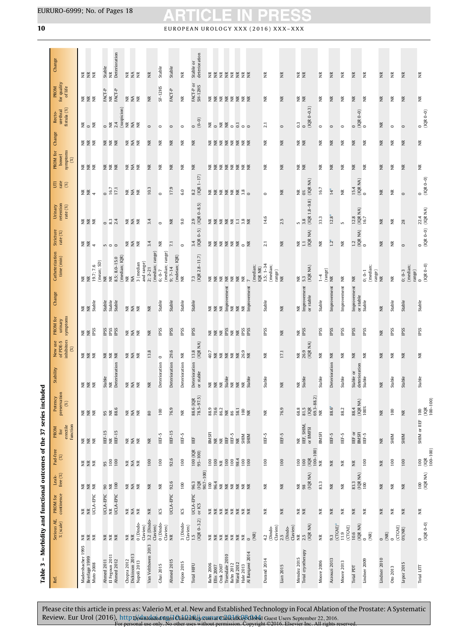<span id="page-9-0"></span>

10

#### A B e  $\frac{1}{2}$

EUROPEAN UROLOGY XXX (2016) XXX-XXX

| Table 3                                      | - Morbidity and functional outcomes of the 37 series included |                              |                            |                           |                             |                                                                 |                                      |                          |                                |                                    |                                                                         |                          |                                     |                                                             |                                                      |                   |                               |                        |                             |
|----------------------------------------------|---------------------------------------------------------------|------------------------------|----------------------------|---------------------------|-----------------------------|-----------------------------------------------------------------|--------------------------------------|--------------------------|--------------------------------|------------------------------------|-------------------------------------------------------------------------|--------------------------|-------------------------------------|-------------------------------------------------------------|------------------------------------------------------|-------------------|-------------------------------|------------------------|-----------------------------|
| Ref.                                         | Serious AE,                                                   | PROM for                     | Leak-<br>free $(\%)$       | Pad-free                  | <b>PROM</b>                 | Potency<br>preservation                                         | Stability                            | New use<br>of PDE-5      | PROM for                       | Change                             | Catheterization                                                         | Stricture                |                                     | UT ete                                                      | PROM for                                             | Chang             | Recto-                        | <b>PROM</b>            | Change                      |
|                                              | % (scale)                                                     | continence                   |                            | $(\%)$                    | function<br>erectile<br>for | $(\%)$                                                          |                                      | inhibitors<br>$(\%)$     | symptoms<br>urinary            |                                    | time (min)                                                              | rate (%)                 | Urinary<br>retention<br>rate $(\%)$ | $(\%)$                                                      | symptoms $\binom{\mathcal{R}}{\mathcal{R}}$<br>bowel |                   | fistula (%)<br>urethral       | for quality<br>of life |                             |
| Madersbacher 1995                            |                                                               | NR<br>NR<br>UCLA-EPIC        | E E E                      |                           |                             |                                                                 |                                      |                          |                                | 兰<br>兰                             | <b>NE</b>                                                               | E E                      |                                     | E E                                                         |                                                      |                   |                               |                        |                             |
| Beerlage 1999<br>Muto 2008                   | <b>WE</b>                                                     |                              |                            | <b>WE</b>                 | <b>WE</b>                   | <b>WE</b>                                                       | <b>ZEE</b>                           | <b>WE</b>                | <b>EE</b> ESS                  | Stable                             |                                                                         |                          | <b>NEW</b>                          |                                                             | E E E                                                | <b>ZEE</b>        | E o E                         | <b>WE</b>              | <b>WE</b>                   |
|                                              |                                                               |                              |                            |                           |                             |                                                                 |                                      |                          |                                |                                    | $19.7; 7.6$<br>(mean; SD)                                               |                          |                                     |                                                             |                                                      |                   |                               |                        |                             |
|                                              | <b>WE</b>                                                     |                              | $90\,$                     | $\frac{95}{100}$          |                             |                                                                 | Stable<br>$\widetilde{\Xi}$          | <b>WE</b>                |                                | Stable                             |                                                                         |                          | $0 \frac{3}{8}$ $\frac{3}{4}$       | $rac{16.7}{16.7}$                                           | E E E                                                | <b>WE</b>         |                               | FACT-P<br>NR           | Stable<br>$\widetilde{\Xi}$ |
| Ahmed 2011<br>El Fegoun 2011<br>Ahmed 2012   |                                                               | UCLA-EPIC<br>NR<br>UCLA-EPIC | <b>NR</b>                  |                           | IEF-15<br>IMR<br>IEF-15     | 95<br>NR<br>88.6                                                | Deterioration                        |                          | <b>SSI</b><br>SSI<br>SSI       | Stable<br>Stable                   | NR<br>NR<br>8.5; 8.0–15.0                                               | n <sub>0</sub>           |                                     |                                                             |                                                      |                   | $rac{6}{24}$                  | FACT-P                 | Deterioration               |
|                                              |                                                               |                              |                            |                           |                             |                                                                 |                                      |                          |                                |                                    | (median; IQR)                                                           |                          |                                     |                                                             |                                                      |                   |                               |                        |                             |
|                                              |                                                               |                              |                            |                           |                             |                                                                 |                                      |                          |                                |                                    | E                                                                       |                          |                                     |                                                             |                                                      |                   |                               |                        |                             |
| Chopra 2012<br>Dickinson 2013<br>Napoli 2013 | NR<br>NR<br>O (Dindo-<br>Clavien)<br>3.2 (Dindo-<br>Clavien)  | <b>∉ ≶</b>                   | ≨≨                         | <b>E≨</b>                 | <b>∉ ≨</b>                  | ≨≨                                                              | <b>∉ ≨</b>                           | ≨≨                       | <b>∉ ≶</b>                     | <b>∉ ≨</b>                         | $3 \text{ (median and range)}$<br>and range)<br>$2; 2-21$<br>$\lessgtr$ | $E \nleq E$              | ≨≨                                  | <b>∉≨≨</b>                                                  | ≨≨                                                   | ≨≨                | (suspicion)<br>NR<br>NA<br>NR | $E \nleq E$            | <b>∉ ≨</b>                  |
| Van Velthoven 2013                           |                                                               | $\widetilde{\Xi}$            | $\widetilde{\Xi}$          | $100\,$                   | $\widetilde{\Xi}$           | $_{\rm 80}$                                                     | $\widetilde{\Xi}$                    | 13.8                     | $\widetilde{\Xi}$              | $\widetilde{\Xi}$                  |                                                                         | 3.4                      | 3.4                                 | 10.3                                                        | $\widetilde{\Xi}$                                    | $\widetilde{\Xi}$ | $\circ$                       | $\widetilde{\Xi}$      | $\widetilde{\Xi}$           |
| Ghai 2015                                    | 0 (Dindo-                                                     | ICS                          | $\widetilde{\Xi}$          | 100                       | IIEF-5                      | $\frac{100}{2}$                                                 | Deterioration                        | $\circ$                  | <b>IPSS</b>                    | Stable                             | $(median; range)$<br>$6; 0-7$                                           | ž                        | $\circ$                             | $\circ$                                                     | $\widetilde{\Xi}$                                    | Ĕ                 | $\circ$                       | SF-12HS                | Stable                      |
| Ahmed 2015                                   | Clavien)<br>$\widetilde{\Xi}$                                 | UCLA-EPIC                    | 92.6                       | 92.6                      | IIEF-15                     | 76.9                                                            | Deterioration                        | 29.6                     | ESS                            | Stable                             | (median; range)<br>$9; 7 - 14$                                          | $\overline{71}$          | $\widetilde{\Xi}$                   | 17.9                                                        | $\widetilde{\Xi}$                                    | $\widetilde{\Xi}$ | $\circ$                       | $FACT-P$               | Stable                      |
| Feijoo 2015                                  | 3 (Dindo-                                                     | <b>S</b>                     | 100                        | 100                       | IIEF-5                      | ž                                                               | Deterioration                        | ž                        | IPSS                           | Stable                             | (mdeian; IQR)<br>NR                                                     | $\circ$                  | 9.0                                 | 6.0                                                         | ž                                                    | $\widetilde{\Xi}$ | $\circ$                       | ž                      | $\widetilde{\Xi}$           |
| Total HIFU                                   | Clavien)                                                      | UCLA-EPIC                    | 96.3                       |                           | IIEF                        |                                                                 |                                      |                          | <b>IPSS</b>                    | Stable                             |                                                                         | 3.4                      | 2.9                                 | 8.2                                                         | $\widetilde{\Xi}$                                    | $\widetilde{\Xi}$ | $\circ$                       | FACT-P or              | Stable or                   |
|                                              | $\frac{1.5}{(10R 0 - 3.2)}$                                   | or ICS                       | $(1QR$<br>90.7–100)<br>100 | 100 (1QR<br>95-100)       |                             | 88.6 (IQR<br>78.5-97.5)                                         | Deterioration<br>or stable           | $\frac{13.8}{(IQR NA)}$  |                                |                                    | 7.3<br>(IQR 2.8-11.7)                                                   | $(1QR 0 - 5)$            | $(1QR 0 - 8.5)$                     | $(1QR 1 - 17)$                                              |                                                      |                   | $(0 - 0)$                     | <b>SH-12HS</b>         | deterioration               |
| Bahn 2006<br>Ellis 2007                      |                                                               |                              |                            |                           | BMSFI                       |                                                                 |                                      |                          |                                |                                    |                                                                         |                          |                                     |                                                             |                                                      |                   |                               |                        |                             |
|                                              |                                                               |                              | 96.4                       |                           | <b>NE</b>                   | 88.9<br>70.6<br>86.2                                            | <b>NEW</b>                           |                          |                                | <b>NEW</b>                         |                                                                         |                          |                                     |                                                             |                                                      |                   |                               |                        |                             |
| Truesdale 2010<br><b>Onik 2007</b>           | <b>AREEEEE</b>                                                | <b>EEEEEEEE</b>              | <b>NEWSER</b>              | 00<br>00 00 100           | IIEF                        |                                                                 | Stable                               |                          | <b>ARA ARA</b><br>ERENCE EN ER | Improvement                        | <b>AREEEEEE</b>                                                         | <b>EEEEEE</b>            | E E E E E E E SE                    | E E E E E E E a o                                           | <b>ZEZZEZZE</b>                                      | <b>EEEEEEEE</b>   | $E_0$ $E_0$ $E_0$ $S_0$       | <b>JEEEEEEE</b>        | <b>EEEEEEEE</b>             |
| <b>Bahn 2012</b>                             |                                                               |                              |                            |                           | IIEF-5                      | $\frac{8}{8}$                                                   | $\widetilde{\Xi}$                    |                          |                                |                                    |                                                                         |                          |                                     |                                                             |                                                      |                   |                               |                        |                             |
| Ward 2012                                    |                                                               |                              |                            |                           | $\widetilde{\Xi}$           | 58.1                                                            | NR<br>NR<br>Stable                   |                          |                                | NR<br>MR<br>MR<br>Improvement      |                                                                         |                          |                                     |                                                             |                                                      |                   |                               |                        |                             |
| Hale 2013<br>Al Barqawi 2014                 | $\widetilde{\Xi}$ o                                           |                              |                            | $\frac{80}{100}$          | <b>NIRS</b>                 | $\frac{100}{25}$                                                |                                      |                          |                                |                                    |                                                                         |                          |                                     |                                                             |                                                      |                   |                               |                        |                             |
|                                              | (MR)                                                          |                              |                            |                           |                             |                                                                 |                                      |                          |                                |                                    | (median;                                                                |                          |                                     |                                                             |                                                      |                   |                               |                        |                             |
| <b>Durand 2014</b>                           | $4.2$<br>(Dindo-                                              | $\widetilde{\Xi}$            | $\widetilde{\Xi}$          | $\overline{100}$          | IEF-5                       | $\widetilde{\Xi}$                                               | Stable                               | Ĕ                        | <b>IPSS</b>                    | Stable                             | iQR NR)<br>3.5; 1-34<br>(median;                                        | 2.1                      | 14.6                                | $\circ$                                                     | ž                                                    | Ĕ                 | $\overline{21}$               | Ĕ                      | ž                           |
|                                              | Clavien)                                                      |                              |                            |                           |                             |                                                                 |                                      |                          |                                |                                    | $range)$<br>NR                                                          |                          |                                     |                                                             |                                                      |                   |                               |                        |                             |
| Lian 2015                                    | Clavien)<br>NR<br>(Dindo-<br>2.5                              | $\widetilde{\Xi}$            | $\widetilde{\Xi}$          | 100                       | IIEF-5                      | 76.9                                                            | ž                                    | 17.1                     | $\widetilde{\Xi}$              | E                                  |                                                                         | $\widetilde{\mathbf{z}}$ | 2.5                                 | $\widetilde{\Xi}$                                           | $\widetilde{\Xi}$                                    | $\widetilde{\Xi}$ | $\circ$                       | $\widetilde{\Xi}$      | E                           |
|                                              |                                                               | <b>NE</b>                    | $E \approx$                | $\frac{100}{100}$         | NR<br>IIEF, SHIM,           | 68.8<br>81.5                                                    | NR<br>Stable                         |                          | NR<br>IPSS                     | ž                                  |                                                                         | ž                        | $5 \frac{8}{3}$                     | $\mathbb{E} \overset{\text{\tiny{def}}}{\approx}$           | <b>NE</b>                                            | <b>NE</b>         | $\frac{3}{2}$                 | E E                    | 兰<br>兰                      |
| Mendez 2015<br>Total cryotherapy             | (IOR <sub>NA</sub> )<br>2.5                                   |                              | (1QR NA)                   | $(1QR$<br>100-100)<br>NR  | or BMFSI                    | $69.3 - 88.2$<br>(IQR                                           |                                      | (IQR NA)<br>NR<br>26.9   |                                | Improvement<br>or stable           | NR<br>5.3<br>(IQR NA)                                                   | $\frac{1.1}{1.0}$ MA)    | $-9.8$<br>(IQR 1.8-                 | NA)<br>(IQR                                                 |                                                      |                   | $(1QR 0 - 0.3)$<br>$\circ$    |                        |                             |
| Moore 2006                                   | $\widetilde{\Xi}$                                             | $\widetilde{\Xi}$            | 83.3                       |                           | <b>BMSFI</b>                | $\widetilde{\Xi}$                                               | Stable                               | Ĕ                        | <b>IPSS</b>                    | Stable                             | $1 - 4$                                                                 | $\widetilde{\Xi}$        | 33.3                                | 16.7                                                        | Ĕ                                                    | Ĕ                 | $\circ$                       | Ĕ                      | Ĕ                           |
| Azzouzi 2013                                 | $(CTCAE)^a$<br>9.3                                            | $\widetilde{\Xi}$            | E                          | $\widetilde{\Xi}$         | IEF-5                       | $88.6^{a}$                                                      | Deterioration                        | $\widetilde{\mathbf{K}}$ | <b>IPSS</b>                    | Improvement                        | (range)<br>NR                                                           | 1.2 <sup>a</sup>         | <sub>co</sub><br>$\overline{2}$     | 14 <sup>a</sup>                                             | <b>兰</b>                                             | $\widetilde{\Xi}$ | $\circ$                       | $\widetilde{\Xi}$      | E                           |
| Moore 2013                                   | (CTCAE)<br>11.9                                               | ž                            | ž                          | ž                         | IIEF-5                      | 88.2                                                            | Stable                               | ž                        | <b>IPSS</b>                    | mprovement                         | ž                                                                       | $\widetilde{\Xi}$        | <b>in</b>                           | ž                                                           | ž                                                    | ž                 | $\circ$                       | ž                      | ž                           |
| Total PDT                                    | (IQR NA)<br>10.6                                              | $\widetilde{\Xi}$            | 83.3<br>(IQR NA)<br>100    | $\widetilde{\Xi}$         | IEF or<br>BMSFI<br>IEF-5    | $\begin{array}{c} 88.4 \\ \text{(IOR NA)} \\ 100\% \end{array}$ | Stable or<br>deterioration<br>Stable | $\widetilde{\Xi}$        | <b>IPSS</b>                    | Improvement<br>or stable<br>Stable | $\widetilde{\Xi}$                                                       | $\frac{1.2}{(1QR NA)}$   | $12.8$<br>(IQR NA)<br>16.7          | $\begin{array}{c} 15.4 \\ \text{(IQR NA)} \\ 0 \end{array}$ | $\widetilde{\Xi}$                                    | $\widetilde{\Xi}$ | $\circ$                       | $\widetilde{\Xi}$      | $\widetilde{\Xi}$           |
| Lindner 2009                                 | $(\mathsf{NR})$                                               | $\widetilde{\Xi}$            |                            | 100                       |                             |                                                                 |                                      | $\widetilde{\Xi}$        | <b>IPSS</b>                    |                                    | (median;<br>range)<br>NR<br>$0; 0-1$                                    |                          |                                     |                                                             | $\frac{8}{2}$                                        | $\widetilde{\Xi}$ | $(10R 0-0)$<br>0              | $\widetilde{\Xi}$      | $\widetilde{\Xi}$           |
| Lindner 2010                                 | $\frac{1}{2}$                                                 | $\widetilde{\Xi}$            | $\widetilde{\Xi}$          | $\widetilde{\Xi}$         | $\widetilde{\Xi}$           | $\widetilde{\Xi}$                                               | $\widetilde{\Xi}$                    | $\widetilde{\Xi}$        | $\widetilde{\Xi}$              | $\widetilde{\Xi}$                  |                                                                         | $\widetilde{\Xi}$        | $\widetilde{\Xi}$                   | $\widetilde{\Xi}$                                           | $\widetilde{\Xi}$                                    | $\widetilde{\Xi}$ | $\widetilde{\Xi}$             | $\widetilde{\Xi}$      | $\widetilde{\Xi}$           |
| Oto 2013                                     | (TCAE)<br>$\circ$                                             | $\widetilde{\Xi}$            | ž                          | $^{100}$                  | <b>SHIM</b>                 | $\frac{8}{2}$                                                   | Stable                               | ž                        | <b>IPSS</b>                    | Stable                             | Ĕ                                                                       | ž                        | ž                                   | ž                                                           | ž                                                    | ž                 | $\circ$                       | ž                      | ž                           |
| Lepor 2015                                   | $0\%(\mathrm{NR})$                                            | $\widetilde{\Xi}$            | $\widetilde{\Xi}$          | 100                       | <b>NIHS</b>                 | $\widetilde{\Xi}$                                               | Stable                               | $\widetilde{\Xi}$        | <b>IPSS</b>                    | Stable                             | (median;<br>$0; 0-3$                                                    | $\circ$                  | 28                                  | $\circ$                                                     | $\widetilde{\Xi}$                                    | $\widetilde{\Xi}$ | $\circ$                       | $\widetilde{\Xi}$      | E                           |
| Total LITT                                   | $(10R 0 - 0)$                                                 | ž                            | 100<br>(1QR NA)            | $100$<br>(IQR<br>100-100) | SHIM or IIEF                | $100 - 100$<br>$\frac{8}{2}$                                    | Stable                               | ž                        | <b>IPSS</b>                    | Stable                             | $(1QR 0 - 0)$<br>range)<br>$\begin{array}{c} 0 \end{array}$             | $(10R 0-0)$              | 22.4<br>(IQR NA)                    | $(10R 0 - 0)$                                               | ž                                                    | ž                 | $(100R - 0)$                  | ž                      | ž                           |

Please cite this article in press as: Valerio M, et al. New and Established Technology in Focal Ablation of the Prostate: A Systematic Review. Eur Urol (2016), http1)6dxi6dadeonghl OtihQalR6ycomurChicakR6yCO6bal Guest Users September 22, 2016.<br>For personal use only. No other uses without permission. Copyright ©2016. Elsevier Inc. All rights reserved.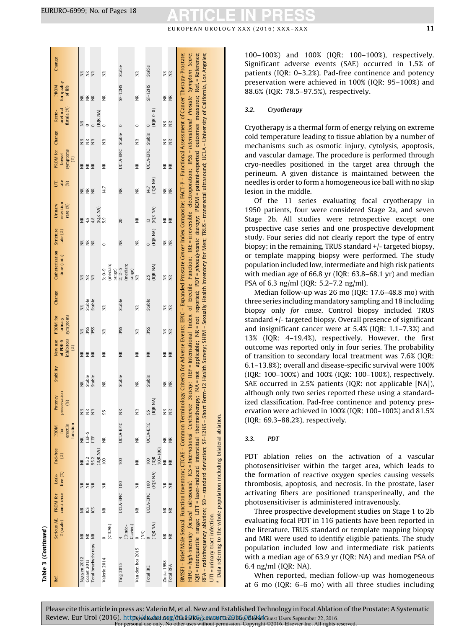<span id="page-10-0"></span>

| Ref.                                                                                                                                                                                                                |                     | % (scale) continence<br>Serious AE, PROM for | free (%)<br>Leak- | Pad-free<br>$(\%)$  | PROM<br>for          | preservation<br>Potency | Stability         | New use<br>of PDE-5  | PROM for<br>urinary | Change | Catheterization<br>time (min)                                                                                                                 | Stricture<br>rate $(\%)$ | retention<br>Urinary | rate<br>S         | PROM for Change<br>bowel |                 | urethral<br>Recto- | for quality<br><b>PROM</b> | Change     |
|---------------------------------------------------------------------------------------------------------------------------------------------------------------------------------------------------------------------|---------------------|----------------------------------------------|-------------------|---------------------|----------------------|-------------------------|-------------------|----------------------|---------------------|--------|-----------------------------------------------------------------------------------------------------------------------------------------------|--------------------------|----------------------|-------------------|--------------------------|-----------------|--------------------|----------------------------|------------|
|                                                                                                                                                                                                                     |                     |                                              |                   |                     |                      |                         |                   |                      |                     |        |                                                                                                                                               |                          |                      |                   |                          |                 |                    |                            |            |
|                                                                                                                                                                                                                     |                     |                                              |                   |                     | function<br>erectile | $(\%)$                  |                   | inhibitors<br>$(\%)$ | symptoms            |        |                                                                                                                                               |                          | rate $(\%)$          | $(\%)$            | symptoms<br>$(\%)$       |                 | fistula (%)        | of life                    |            |
| Nguyen 2012                                                                                                                                                                                                         | ž                   | ž                                            | ž                 |                     | ž                    | ž                       | $\widetilde{\Xi}$ | Ĕ                    | ₩                   | ž      | ž                                                                                                                                             |                          |                      | ž                 |                          | ž               |                    | ΧK                         |            |
| Cosset 2013                                                                                                                                                                                                         | Ĕ                   | ΣJΙ                                          | ž                 | 95.2                | IIEF-5               | g                       | Stable            | E E                  | <b>IPSS</b>         | Stable | Ĕ                                                                                                                                             | E E                      | 4.8                  | $\widetilde{\Xi}$ | <b>JEE</b>               | $\circ$<br>E E  |                    | ΣŘ                         | <b>ZEE</b> |
| Total brachytherapy                                                                                                                                                                                                 | ΣŘ                  | S                                            | ž                 | (1QR NA)<br>95.2    | ΠEF                  | $\widetilde{\Xi}$       | Stable            |                      | PSS                 | Stable | $\widetilde{\Xi}$                                                                                                                             | ž                        | (IQR NA)<br>4.8      | ž                 |                          | $\widetilde{z}$ | (1QR NA)           | ΧŘ                         |            |
| Valerio 2014                                                                                                                                                                                                        |                     | E                                            | E                 | $\overline{0}$      | ž                    | 95                      | ž                 | ž                    | E                   | E      | $3; 0-9$                                                                                                                                      | $\circ$                  | 5.9                  | 14.7              | ž                        | ž               |                    | ΣŘ                         | Ĕ          |
|                                                                                                                                                                                                                     | (CTCAE)             |                                              |                   |                     |                      |                         |                   |                      |                     |        | (median)                                                                                                                                      |                          |                      |                   |                          |                 |                    |                            |            |
| Ting 2015                                                                                                                                                                                                           |                     | UCLA-EPIC 100                                |                   | 100                 | UCLA-EPIC            | ž                       | Stable            | E                    | <b>IPSS</b>         | Stable | range)<br>$2: 2-5$                                                                                                                            | ΕŘ                       | $\Omega$             | Ĕ                 | UCLA-EPIC Stable         | $\circ$         |                    | SF-12HS                    | Stable     |
|                                                                                                                                                                                                                     | Clavien)<br>(Dindo- |                                              |                   |                     |                      |                         |                   |                      |                     |        | (median)<br>range)                                                                                                                            |                          |                      |                   |                          |                 |                    |                            |            |
| Van den bos 2015                                                                                                                                                                                                    |                     | ž                                            | ž                 | ž                   | ž                    | ž                       | NR.               | ž                    | ž                   | ž      | ž                                                                                                                                             | ž                        | ž                    | ž                 | ž                        | $\circ$<br>ΣŘ   |                    | NR.                        | Ĕ          |
|                                                                                                                                                                                                                     | (MR)                |                                              |                   |                     |                      |                         |                   |                      |                     |        |                                                                                                                                               |                          |                      |                   |                          |                 |                    |                            |            |
| <b>Total IRE</b>                                                                                                                                                                                                    |                     | UCLA-EPIC 100                                |                   | 100                 | UCLA-EPIC            | 95                      | Stable            | E                    | <b>IPSS</b>         | Stable | 2.5                                                                                                                                           |                          | $\frac{3}{2}$        | 14.7              | UCLA-EPIC                | Stable          |                    | SF-12HS                    | Stable     |
|                                                                                                                                                                                                                     | (1QR NA)            |                                              | (IOR NA)          | $100 - 100$<br>(IOR |                      | KN)<br>(IQR             |                   |                      |                     |        | (1QR NA)                                                                                                                                      | (1QR NA)                 | (IQR NA)             | (IQR NA)          |                          |                 | $(1QR 0-0)$        |                            |            |
| Zlotta 1998                                                                                                                                                                                                         | $\widetilde{\Xi}$   | ž                                            | ž                 | ž                   | ž                    | Ĕ                       | ξ                 | Ĕ                    | ž                   | ž      | ž                                                                                                                                             | Ĕ                        | ž                    | ž                 | ž                        | ΣŘ              | ΣŘ                 | ž                          | ž          |
| <b>Total RFA</b>                                                                                                                                                                                                    | $\widetilde{\Xi}$   | ž                                            | Ĕ                 | ž                   | ž                    | ž                       | NR                | Ĕ                    | E                   | Ĕ      | ž                                                                                                                                             | Ĕ                        | Ĕ                    | ž                 | Ĕ                        | ΣŘ              | ΣŘ                 | ΣŘ                         | ž          |
| BMSFI = Brief Male Sexual. Function Inventory; CTCAE = Common Terminology Criteria for Adverse Events; EPIC = Expanded Prostate Cancer Index Composite; FACT-P = Functional Assessment of Cancer Therapy-Prostate;  |                     |                                              |                   |                     |                      |                         |                   |                      |                     |        |                                                                                                                                               |                          |                      |                   |                          |                 |                    |                            |            |
| HIFU = high-intensity focused ultrasound; ICS = International Continence Society; IIEF = International Index of Erectile Function; IRE = inreversible electroporation; IPSS = International Prostate Symptom Score; |                     |                                              |                   |                     |                      |                         |                   |                      |                     |        |                                                                                                                                               |                          |                      |                   |                          |                 |                    |                            |            |
| QR = interquartile range; LITT = laser-induced interstitial thermotherapy; NA = not applicable; NR = not reported; PDT = photodynamic therapy; PROM = patient-reported outcomes measures; Ref. = Reference;         |                     |                                              |                   |                     |                      |                         |                   |                      |                     |        |                                                                                                                                               |                          |                      |                   |                          |                 |                    |                            |            |
| RFA = radiofrequency ablation; SD = standard deviation; SF-12HS = Short                                                                                                                                             |                     |                                              |                   |                     |                      |                         |                   |                      |                     |        | Form-12 Health Survey; SHIM = Sexually Health Inventory for Men; TRUS = transrectal ultrasound; UCLA = University of California, Los Angeles; |                          |                      |                   |                          |                 |                    |                            |            |
| UTI = urinary tract infection.                                                                                                                                                                                      |                     |                                              |                   |                     |                      |                         |                   |                      |                     |        |                                                                                                                                               |                          |                      |                   |                          |                 |                    |                            |            |
| Data referring to the whole population including bilateral ablation.                                                                                                                                                |                     |                                              |                   |                     |                      |                         |                   |                      |                     |        |                                                                                                                                               |                          |                      |                   |                          |                 |                    |                            |            |

Table 3 (Continued )

Table 3 (Continued)

100–100%) and 100% (IQR: 100–100%), respectively. Significant adverse events (SAE) occurred in 1.5% of patients (IQR: 0–3.2%). Pad-free continence and potency preservation were achieved in 100% (IQR: 95–100%) and 88.6% (IQR: 78.5–97.5%), respectively.

#### 3.2. Cryotherapy

Cryotherapy is a thermal form of energy relying on extreme cold temperature leading to tissue ablation by a number of mechanisms such as osmotic injury, cytolysis, apoptosis, and vascular damage. The procedure is performed through cryo-needles positioned in the target area through the perineum. A given distance is maintained between the needles is order to form a homogeneous ice ball with no skip lesion in the middle.

Of the 11 series evaluating focal cryotherapy in 1950 patients, four were considered Stage 2a, and seven Stage 2b. All studies were retrospective except one prospective case series and one prospective development study. Four series did not clearly report the type of entry biopsy; in the remaining, TRUS standard +/- targeted biopsy, or template mapping biopsy were performed. The study population included low, intermediate and high risk patients with median age of 66.8 yr (IQR: 63.8–68.1 yr) and median PSA of 6.3 ng/ml (IQR: 5.2–7.2 ng/ml).

Median follow-up was 26 mo (IQR: 17.6–48.8 mo) with three series including mandatory sampling and 18 including biopsy only for cause. Control biopsy included TRUS standard +/- targeted biopsy. Overall presence of significant and insignificant cancer were at 5.4% (IQR: 1.1–7.3%) and 13% (IQR: 4–19.4%), respectively. However, the first outcome was reported only in four series. The probability of transition to secondary local treatment was 7.6% (IQR: 6.1–13.8%); overall and disease-specific survival were 100% (IQR: 100–100%) and 100% (IQR: 100–100%), respectively. SAE occurred in 2.5% patients (IQR: not applicable [NA]), although only two series reported these using a standardized classification. Pad-free continence and potency preservation were achieved in 100% (IQR: 100–100%) and 81.5% (IQR: 69.3–88.2%), respectively.

#### 3.3. PDT

PDT ablation relies on the activation of a vascular photosensitiviser within the target area, which leads to the formation of reactive oxygen species causing vessels thrombosis, apoptosis, and necrosis. In the prostate, laser activating fibers are positioned transperineally, and the photosensitiviser is administered intravenously.

Three prospective development studies on Stage 1 to 2b evaluating focal PDT in 116 patients have been reported in the literature. TRUS standard or template mapping biopsy and MRI were used to identify eligible patients. The study population included low and intermediate risk patients with a median age of 63.9 yr (IQR: NA) and median PSA of 6.4 ng/ml (IQR: NA).

When reported, median follow-up was homogeneous at 6 mo (IQR: 6–6 mo) with all three studies including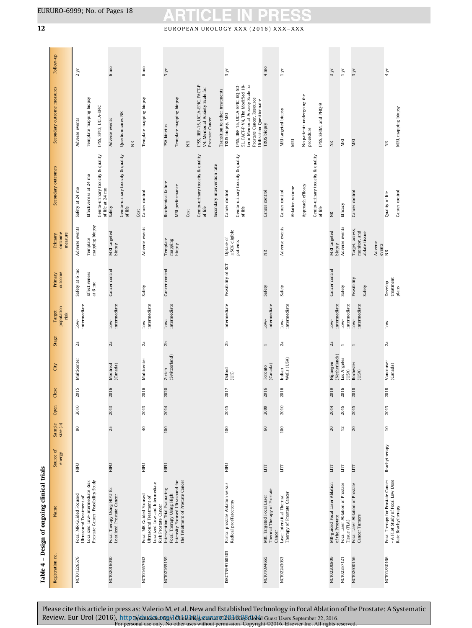### E W)

## <span id="page-11-0"></span>12 EUROPEAN UROLOGY XXX (2016) XXX-XXX

|                                             | Follow-up                     | 2 yr                                                                                                                        | 6 mo                                                            | $6 \text{ mo}$                                                                                               | 3 yr                                                                                                                              |                                                   | $3y$ r                                                                                                                                                                                                                 | 4 mo                                                              | $1 \times$                                                                                             | 3 yr<br>$1 \times$                                                                    | $3y$ r                                                            | $4 \text{ yr}$                                                                               |
|---------------------------------------------|-------------------------------|-----------------------------------------------------------------------------------------------------------------------------|-----------------------------------------------------------------|--------------------------------------------------------------------------------------------------------------|-----------------------------------------------------------------------------------------------------------------------------------|---------------------------------------------------|------------------------------------------------------------------------------------------------------------------------------------------------------------------------------------------------------------------------|-------------------------------------------------------------------|--------------------------------------------------------------------------------------------------------|---------------------------------------------------------------------------------------|-------------------------------------------------------------------|----------------------------------------------------------------------------------------------|
|                                             | Secondary outcome measures    | Template mapping biopsy<br>IPSS, SF12, UCLA-EPIC<br>Adverse events                                                          | Questionnaires NR<br>Adverse events<br>$\widetilde{\mathbf{R}}$ | Template mapping biopsy                                                                                      | IPSS, IIEF-15, UCLA-EPIC, FACT-P<br>Template mapping biopsy<br>PSA kinetics<br>ΧŘ                                                 | V4, Memorial Anxiety Scale for<br>Prostate Cancer | term Memorial Anxiety Scale for<br>IPSS, IIEF-15, UCLA-EPIC, EQ-5D-<br>5L, FACT-P V4, The Modified 18-<br>Transition to other treatments<br>TRUS biopsy, MRI<br>Prostate Cancer, Resource<br>Utilization Questionnaire | <b>TRUS</b> biopsy                                                | No patients undergoing the<br>IPSS, SHIM, and PHQ-9<br>MRI targeted biopsy<br>procedure<br>MRI         | MRI<br>$\widetilde{\Xi}$                                                              | MRI                                                               | MRI, mapping biopsy<br>Ĕ                                                                     |
|                                             | Secondary outcomes            | Genito-urinary toxicity & quality<br>Effectiveness at 24 mo<br>Safety at 24 mo<br>of life at 24 mo                          | Genito-urinary toxicity & quality<br>Safety<br>of life<br>Cost  | Cancer control                                                                                               | Genito-urinary toxicity & quality<br>Biochemical failure<br>MRI performance<br>Cost                                               | Secondary intervention rate<br>of life            | Genito-urinary toxicity & quality<br>Cancer control<br>of life                                                                                                                                                         | Cancer control                                                    | Genito-urinary toxicity & quality<br>Approach efficacy<br>Ablation volume<br>Cancer control<br>of life | Efficacy<br>χR                                                                        | Cancer control                                                    | Cancer control<br>Quality of life                                                            |
|                                             | outcome<br>measure<br>Primary | mapping biopsy<br>Adverse events<br>Template                                                                                | MRI targeted<br>biopsy                                          | Adverse events                                                                                               | Template<br>mapping<br>biopsy                                                                                                     |                                                   | >50% eligible<br>Uptake of<br>patients                                                                                                                                                                                 | ΣŘ                                                                | Adverse events                                                                                         | Adverse events<br>MRI targeted<br>biopsy                                              | Target, access,<br>monitor, and<br>ablate tissue<br>Adverse       | events<br>NR                                                                                 |
|                                             | outcome<br>Primary            | Safety at 6 mo<br>Effectiveness<br>at 6 mo                                                                                  | Cancer control                                                  | Safety                                                                                                       | Cancer control                                                                                                                    |                                                   | Feasibility of RCT                                                                                                                                                                                                     | Safety                                                            | Safety                                                                                                 | Cancer control<br>Safety                                                              | Feasibility<br>Safety                                             | treatment<br>Develop<br>plans                                                                |
|                                             | population<br>Target<br>risk  | intermediate<br>Low-                                                                                                        | intermediate<br>Low-                                            | intermediate<br>Low-                                                                                         | intermediate<br>$Low-$                                                                                                            |                                                   | Intermediate                                                                                                                                                                                                           | intermediate<br>Low-                                              | intermediate<br>Low-                                                                                   | intermediate<br>Low-<br>Low-                                                          | intermediate<br>intermediate<br>Low-                              | Low                                                                                          |
|                                             | Stage                         | 2a                                                                                                                          | 2a                                                              | 2a                                                                                                           | 2b                                                                                                                                |                                                   | 5                                                                                                                                                                                                                      | $\overline{ }$                                                    | 2a                                                                                                     | 2a                                                                                    |                                                                   | 2a                                                                                           |
|                                             | City                          | Multicenter                                                                                                                 | (Canada)<br>Montreal                                            | Multicenter                                                                                                  | (Switzerland)<br>Zurich                                                                                                           |                                                   | Oxford<br>(S)                                                                                                                                                                                                          | (Canada)<br>Toronto                                               | Wells (USA)<br>Indian                                                                                  | (Netherlands)<br>.os Angeles<br>Nijmegen                                              | Rochester<br>(USA)<br>(USA)                                       | Vancouver<br>(Canada)                                                                        |
|                                             | Close                         | 2015                                                                                                                        | 2016                                                            | 2016                                                                                                         | 2020                                                                                                                              |                                                   | 2017                                                                                                                                                                                                                   | 2016                                                              | 2016                                                                                                   | 2019<br>2016                                                                          | 2018                                                              | 2018                                                                                         |
|                                             | Open                          | 2010                                                                                                                        | 2013                                                            | 2013                                                                                                         | 2014                                                                                                                              |                                                   | 2015                                                                                                                                                                                                                   | 2009                                                              | 2010                                                                                                   | 2014<br>2015                                                                          | 2015                                                              | 2013                                                                                         |
|                                             | Sample<br>size(n)             | $_{\rm 80}$                                                                                                                 | 25                                                              | $\overline{4}$                                                                                               | 100                                                                                                                               |                                                   | $^{100}$                                                                                                                                                                                                               | $\mbox{6}$                                                        | $^{100}$                                                                                               | 20<br>5                                                                               | $20\,$                                                            | $\overline{10}$                                                                              |
|                                             | Source of<br>energy           | HIFU                                                                                                                        | HIFU                                                            | E                                                                                                            | HIFU                                                                                                                              |                                                   | E                                                                                                                                                                                                                      | Ë                                                                 | Ę                                                                                                      | EЦ<br>E                                                                               | E                                                                 | Brachytherapy                                                                                |
| Table 4 - Design of ongoing clinical trials | Name                          | Localized Low-Intermediate Risk<br>Prostate Cancer: Feasibility Study<br>Focal MR-Guided Focused<br>Ultrasound Treatment of | Focal Therapy Using HIFU for<br>Localized Prostate Cancer       | Localized Low and Intermediate<br>Focal MR-Guided Focused<br>Ultrasound Treatment of<br>Risk Prostate Cancer | the Treatment of Prostate Cancer<br>Intensity Focused Ultrasound for<br>Intervention Trial Evaluating<br>Focal Therapy Using High |                                                   | Partial prostate Ablation versus<br>Radical prosTatectomy                                                                                                                                                              | Thermal Therapy of Prostate<br>MRI Targeted Focal Laser<br>Cancer | Therapy of Prostate Cancer<br>Laser Interstitial Thermal                                               | MR-guided Focal Laser Ablation<br>Focal Laser Ablation of Prostate<br>of the Prostate | Focal Laser Ablation of Prostate<br>Cancer Tumors<br>Tissue (FLA) | Focal Therapy for Prostate Cancer<br>- A Pilot Study of Focal Low Dose<br>Rate Brachytherapy |
|                                             | Registration no               | NCT01226576                                                                                                                 | NCT02016040                                                     | NCT01657942                                                                                                  | NCT02265159                                                                                                                       |                                                   | ISRCTN99760303                                                                                                                                                                                                         | NCT01094665                                                       | NCT02243033                                                                                            | NCT02200809<br>NCT02357121                                                            | NCT02600156                                                       | NCT01830166                                                                                  |

Please cite this article in press as: Valerio M, et al. New and Established Technology in Focal Ablation of the Prostate: A Systematic Review. Eur Urol (2016), http1)6dxi6dadeonghl OtihQalR6ycomurChicakR6yCO6bal Guest Users September 22, 2016.<br>For personal use only. No other uses without permission. Copyright ©2016. Elsevier Inc. All rights reserved.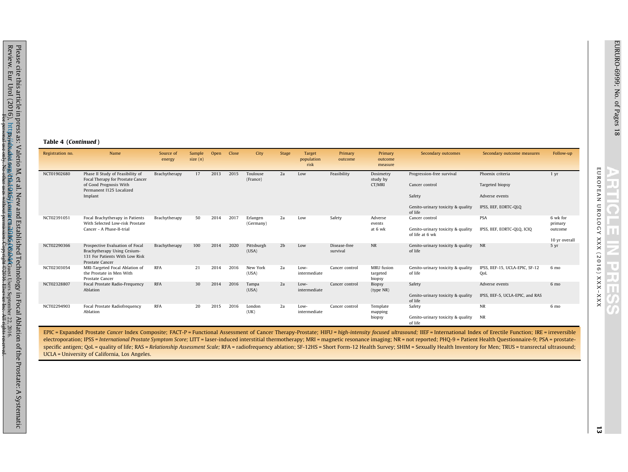### E U R O P E A N u u المنادر m. U R O L O G Y  $\bigcap$ r.  $\mathbb{H}$ X X X ( 2 0 1 6 ) X X X – X X X Z. TU. bu,  $\sim$ Щ  $\sigma_P$

#### Table 4 (Continued )

| Registration no. | Name                                                                                                                | Source of<br>energy | Sample<br>size $(n)$ | Open | Close | City                  | Stage          | Target<br>population<br>risk | Primary<br>outcome       | Primary<br>outcome<br>measure           | Secondary outcomes                                   | Secondary outcome measures                    | Follow-up           |
|------------------|---------------------------------------------------------------------------------------------------------------------|---------------------|----------------------|------|-------|-----------------------|----------------|------------------------------|--------------------------|-----------------------------------------|------------------------------------------------------|-----------------------------------------------|---------------------|
| NCT01902680      | Phase II Study of Feasibility of<br>Focal Therapy for Prostate Cancer<br>of Good Prognosis With                     | Brachytherapy       | 17                   | 2013 | 2015  | Toulouse<br>(France)  | 2a             | Low                          | Feasibility              | Dosimetry<br>study by<br>CT/MRI         | Progression-free survival<br>Cancer control          | Phoenix criteria<br>Targeted biopsy           | 1 yr                |
|                  | Permanent I125 Localized<br>Implant                                                                                 |                     |                      |      |       |                       |                |                              |                          |                                         | Safety                                               | Adverse events                                |                     |
|                  |                                                                                                                     |                     |                      |      |       |                       |                |                              |                          |                                         | Genito-urinary toxicity & quality<br>of life         | IPSS, IIEF, EORTC-OLO                         |                     |
| NCT02391051      | Focal Brachytherapy in Patients<br>With Selected Low-risk Prostate                                                  | Brachytherapy       | 50                   | 2014 | 2017  | Erlangen<br>(Germany) | 2a             | Low                          | Safety                   | Adverse<br>events                       | Cancer control                                       | PSA                                           | 6 wk for<br>primary |
|                  | Cancer - A Phase-II-trial                                                                                           |                     |                      |      |       |                       |                |                              |                          | at 6 wk                                 | Genito-urinary toxicity & quality<br>of life at 6 wk | IPSS, IIEF, EORTC-QLQ, ICIQ                   | outcome             |
|                  |                                                                                                                     |                     |                      |      |       |                       |                |                              |                          |                                         |                                                      |                                               | 10 yr overall       |
| NCT02290366      | Prospective Evaluation of Focal<br>Brachytherapy Using Cesium-<br>131 For Patients With Low Risk<br>Prostate Cancer | Brachytherapy       | 100                  | 2014 | 2020  | Pittsburgh<br>(USA)   | 2 <sub>b</sub> | Low                          | Disease-free<br>survival | <b>NR</b>                               | Genito-urinary toxicity & quality<br>of life         | <b>NR</b>                                     | 5 yr                |
| NCT02303054      | MRI-Targeted Focal Ablation of<br>the Prostate in Men With<br>Prostate Cancer                                       | <b>RFA</b>          | 21                   | 2014 | 2016  | New York<br>(USA)     | 2a             | Low-<br>intermediate         | Cancer control           | <b>MRU</b> fusion<br>targeted<br>biopsy | Genito-urinary toxicity & quality<br>of life         | IPSS. IIEF-15. UCLA-EPIC. SF-12<br><b>QoL</b> | 6 mo                |
| NCT02328807      | Focal Prostate Radio-Frequency<br>Ablation                                                                          | <b>RFA</b>          | 30                   | 2014 | 2016  | Tampa<br>(USA)        | 2a             | Low-<br>intermediate         | Cancer control           | Biopsy<br>(type NR)                     | Safety                                               | Adverse events                                | 6 mo                |
|                  |                                                                                                                     |                     |                      |      |       |                       |                |                              |                          |                                         | Genito-urinary toxicity & quality<br>of life         | IPSS, IIEF-5, UCLA-EPIC, and RAS              |                     |
| NCT02294903      | Focal Prostate Radiofrequency<br>Ablation                                                                           | RFA                 | 20                   | 2015 | 2016  | London<br>(UK)        | 2a             | Low-<br>intermediate         | Cancer control           | Template<br>mapping                     | Safety                                               | <b>NR</b>                                     | 6 mo                |
|                  |                                                                                                                     |                     |                      |      |       |                       |                |                              |                          | biopsy                                  | Genito-urinary toxicity & quality<br>of life         | NR                                            |                     |

EPIC = Expanded Prostate Cancer Index Composite; FACT-P = Functional Assessment of Cancer Therapy-Prostate; HIFU = high-intensity focused ultrasound; IIEF = International Index of Erectile Function; IRE = irreversible electroporation; IPSS = International Prostate Symptom Score; LITT = laser-induced interstitial thermotherapy; MRI = magnetic resonance imaging; NR = not reported; PHQ-9 = Patient Health Questionnaire-9; PSA = prostatespecific antigen; QoL = quality of life; RAS = Relationship Assessment Scale; RFA = radiofrequency ablation; SF-12HS = Short Form-12 Health Survey; SHIM = Sexually Health Inventory for Men; TRUS = transrectal ultrasound; UCLA = University of California, Los Angeles.

For personal use only. No other uses without permission. Copyright ©2016. Elsevier Inc. All rights reserved.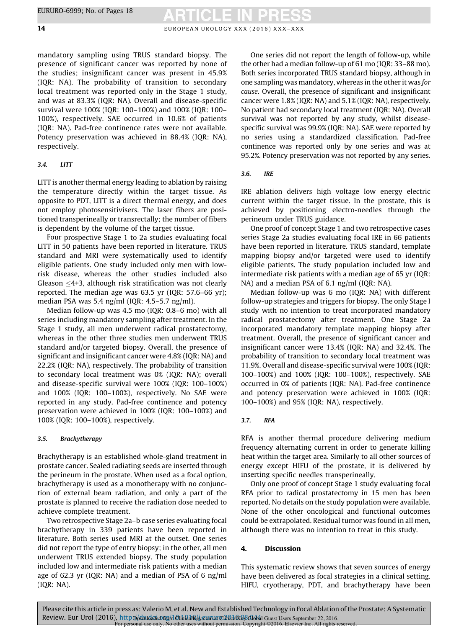mandatory sampling using TRUS standard biopsy. The presence of significant cancer was reported by none of the studies; insignificant cancer was present in 45.9% (IQR: NA). The probability of transition to secondary local treatment was reported only in the Stage 1 study, and was at 83.3% (IQR: NA). Overall and disease-specific survival were 100% (IQR: 100–100%) and 100% (IQR: 100– 100%), respectively. SAE occurred in 10.6% of patients (IQR: NA). Pad-free continence rates were not available. Potency preservation was achieved in 88.4% (IQR: NA), respectively.

#### 3.4. LITT

LITT is another thermal energy leading to ablation by raising the temperature directly within the target tissue. As opposite to PDT, LITT is a direct thermal energy, and does not employ photosensitivisers. The laser fibers are positioned transperineally or transrectally; the number of fibers is dependent by the volume of the target tissue.

Four prospective Stage 1 to 2a studies evaluating focal LITT in 50 patients have been reported in literature. TRUS standard and MRI were systematically used to identify eligible patients. One study included only men with lowrisk disease, whereas the other studies included also Gleason  $\leq$ 4+3, although risk stratification was not clearly reported. The median age was 63.5 yr (IQR: 57.6–66 yr); median PSA was 5.4 ng/ml (IQR: 4.5–5.7 ng/ml).

Median follow-up was 4.5 mo (IQR: 0.8–6 mo) with all series including mandatory sampling after treatment. In the Stage 1 study, all men underwent radical prostatectomy, whereas in the other three studies men underwent TRUS standard and/or targeted biopsy. Overall, the presence of significant and insignificant cancer were 4.8% (IQR: NA) and 22.2% (IQR: NA), respectively. The probability of transition to secondary local treatment was 0% (IQR: NA); overall and disease-specific survival were 100% (IQR: 100–100%) and 100% (IQR: 100–100%), respectively. No SAE were reported in any study. Pad-free continence and potency preservation were achieved in 100% (IQR: 100–100%) and 100% (IQR: 100–100%), respectively.

#### 3.5. Brachytherapy

Brachytherapy is an established whole-gland treatment in prostate cancer. Sealed radiating seeds are inserted through the perineum in the prostate. When used as a focal option, brachytherapy is used as a monotherapy with no conjunction of external beam radiation, and only a part of the prostate is planned to receive the radiation dose needed to achieve complete treatment.

Two retrospective Stage 2a–b case series evaluating focal brachytherapy in 339 patients have been reported in literature. Both series used MRI at the outset. One series did not report the type of entry biopsy; in the other, all men underwent TRUS extended biopsy. The study population included low and intermediate risk patients with a median age of 62.3 yr (IQR: NA) and a median of PSA of 6 ng/ml (IQR: NA).

One series did not report the length of follow-up, while the other had a median follow-up of 61 mo (IQR: 33–88 mo). Both series incorporated TRUS standard biopsy, although in one sampling was mandatory, whereas in the other it was for cause. Overall, the presence of significant and insignificant cancer were 1.8% (IQR: NA) and 5.1% (IQR: NA), respectively. No patient had secondary local treatment (IQR: NA). Overall survival was not reported by any study, whilst diseasespecific survival was 99.9% (IQR: NA). SAE were reported by no series using a standardized classification. Pad-free continence was reported only by one series and was at 95.2%. Potency preservation was not reported by any series.

#### 3.6. IRE

IRE ablation delivers high voltage low energy electric current within the target tissue. In the prostate, this is achieved by positioning electro-needles through the perineum under TRUS guidance.

One proof of concept Stage 1 and two retrospective cases series Stage 2a studies evaluating focal IRE in 66 patients have been reported in literature. TRUS standard, template mapping biopsy and/or targeted were used to identify eligible patients. The study population included low and intermediate risk patients with a median age of 65 yr (IQR: NA) and a median PSA of 6.1 ng/ml (IQR: NA).

Median follow-up was 6 mo (IQR: NA) with different follow-up strategies and triggers for biopsy. The only Stage I study with no intention to treat incorporated mandatory radical prostatectomy after treatment. One Stage 2a incorporated mandatory template mapping biopsy after treatment. Overall, the presence of significant cancer and insignificant cancer were 13.4% (IQR: NA) and 32.4%. The probability of transition to secondary local treatment was 11.9%. Overall and disease-specific survival were 100% (IQR: 100–100%) and 100% (IQR: 100–100%), respectively. SAE occurred in 0% of patients (IQR: NA). Pad-free continence and potency preservation were achieved in 100% (IQR: 100–100%) and 95% (IQR: NA), respectively.

#### 3.7. RFA

RFA is another thermal procedure delivering medium frequency alternating current in order to generate killing heat within the target area. Similarly to all other sources of energy except HIFU of the prostate, it is delivered by inserting specific needles transperineally.

Only one proof of concept Stage 1 study evaluating focal RFA prior to radical prostatectomy in 15 men has been reported. No details on the study population were available. None of the other oncological and functional outcomes could be extrapolated. Residual tumor was found in all men, although there was no intention to treat in this study.

#### 4. Discussion

This systematic review shows that seven sources of energy have been delivered as focal strategies in a clinical setting. HIFU, cryotherapy, PDT, and brachytherapy have been

Please cite this article in press as: Valerio M, et al. New and Established Technology in Focal Ablation of the Prostate: A Systematic Review. Eur Urol (2016), http://dxiolade.org/10.110218/g.com at Clancaft & Score Users September 22, 2016. For personal use only. No other uses without permission. Copyright ©2016. Elsevier Inc. All rights reserved.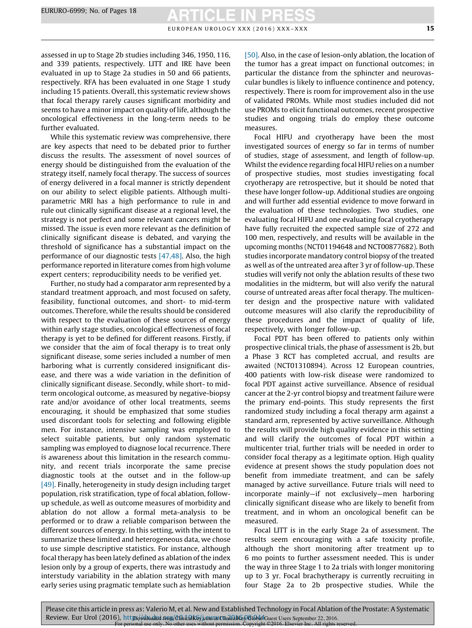assessed in up to Stage 2b studies including 346, 1950, 116, and 339 patients, respectively. LITT and IRE have been evaluated in up to Stage 2a studies in 50 and 66 patients, respectively. RFA has been evaluated in one Stage 1 study including 15 patients. Overall, this systematic review shows that focal therapy rarely causes significant morbidity and seems to have a minor impact on quality of life, although the oncological effectiveness in the long-term needs to be further evaluated.

While this systematic review was comprehensive, there are key aspects that need to be debated prior to further discuss the results. The assessment of novel sources of energy should be distinguished from the evaluation of the strategy itself, namely focal therapy. The success of sources of energy delivered in a focal manner is strictly dependent on our ability to select eligible patients. Although multiparametric MRI has a high performance to rule in and rule out clinically significant disease at a regional level, the strategy is not perfect and some relevant cancers might be missed. The issue is even more relevant as the definition of clinically significant disease is debated, and varying the threshold of significance has a substantial impact on the performance of our diagnostic tests [\[47,48\].](#page-17-0) Also, the high performance reported in literature comes from high volume expert centers; reproducibility needs to be verified yet.

Further, no study had a comparator arm represented by a standard treatment approach, and most focused on safety, feasibility, functional outcomes, and short- to mid-term outcomes. Therefore, while the results should be considered with respect to the evaluation of these sources of energy within early stage studies, oncological effectiveness of focal therapy is yet to be defined for different reasons. Firstly, if we consider that the aim of focal therapy is to treat only significant disease, some series included a number of men harboring what is currently considered insignificant disease, and there was a wide variation in the definition of clinically significant disease. Secondly, while short- to midterm oncological outcome, as measured by negative-biopsy rate and/or avoidance of other local treatments, seems encouraging, it should be emphasized that some studies used discordant tools for selecting and following eligible men. For instance, intensive sampling was employed to select suitable patients, but only random systematic sampling was employed to diagnose local recurrence. There is awareness about this limitation in the research community, and recent trials incorporate the same precise diagnostic tools at the outset and in the follow-up [\[49\].](#page-17-0) Finally, heterogeneity in study design including target population, risk stratification, type of focal ablation, followup schedule, as well as outcome measures of morbidity and ablation do not allow a formal meta-analysis to be performed or to draw a reliable comparison between the different sources of energy. In this setting, with the intent to summarize these limited and heterogeneous data, we chose to use simple descriptive statistics. For instance, although focal therapy has been lately defined as ablation of the index lesion only by a group of experts, there was intrastudy and interstudy variability in the ablation strategy with many early series using pragmatic template such as hemiablation

[\[50\]](#page-17-0). Also, in the case of lesion-only ablation, the location of the tumor has a great impact on functional outcomes; in particular the distance from the sphincter and neurovascular bundles is likely to influence continence and potency, respectively. There is room for improvement also in the use of validated PROMs. While most studies included did not use PROMs to elicit functional outcomes, recent prospective studies and ongoing trials do employ these outcome measures.

Focal HIFU and cryotherapy have been the most investigated sources of energy so far in terms of number of studies, stage of assessment, and length of follow-up. Whilst the evidence regarding focal HIFU relies on a number of prospective studies, most studies investigating focal cryotherapy are retrospective, but it should be noted that these have longer follow-up. Additional studies are ongoing and will further add essential evidence to move forward in the evaluation of these technologies. Two studies, one evaluating focal HIFU and one evaluating focal cryotherapy have fully recruited the expected sample size of 272 and 100 men, respectively, and results will be available in the upcoming months (NCT01194648 and NCT00877682). Both studies incorporate mandatory control biopsy of the treated as well as of the untreated area after 3 yr of follow-up. These studies will verify not only the ablation results of these two modalities in the midterm, but will also verify the natural course of untreated areas after focal therapy. The multicenter design and the prospective nature with validated outcome measures will also clarify the reproducibility of these procedures and the impact of quality of life, respectively, with longer follow-up.

Focal PDT has been offered to patients only within prospective clinical trials, the phase of assessment is 2b, but a Phase 3 RCT has completed accrual, and results are awaited (NCT01310894). Across 12 European countries, 400 patients with low-risk disease were randomized to focal PDT against active surveillance. Absence of residual cancer at the 2-yr control biopsy and treatment failure were the primary end-points. This study represents the first randomized study including a focal therapy arm against a standard arm, represented by active surveillance. Although the results will provide high quality evidence in this setting and will clarify the outcomes of focal PDT within a multicenter trial, further trials will be needed in order to consider focal therapy as a legitimate option. High quality evidence at present shows the study population does not benefit from immediate treatment, and can be safely managed by active surveillance. Future trials will need to incorporate mainly—if not exclusively—men harboring clinically significant disease who are likely to benefit from treatment, and in whom an oncological benefit can be measured.

Focal LITT is in the early Stage 2a of assessment. The results seem encouraging with a safe toxicity profile, although the short monitoring after treatment up to 6 mo points to further assessment needed. This is under the way in three Stage 1 to 2a trials with longer monitoring up to 3 yr. Focal brachytherapy is currently recruiting in four Stage 2a to 2b prospective studies. While the

Please cite this article in press as: Valerio M, et al. New and Established Technology in Focal Ablation of the Prostate: A Systematic Review. Eur Urol (2016), http://dkaded.from/dthakey.com at ClinicalKeyGlobal Guest Users September 22, 2016. For personal use only. No other uses without permission. Copyright ©2016. Elsevier Inc. All rights reserved.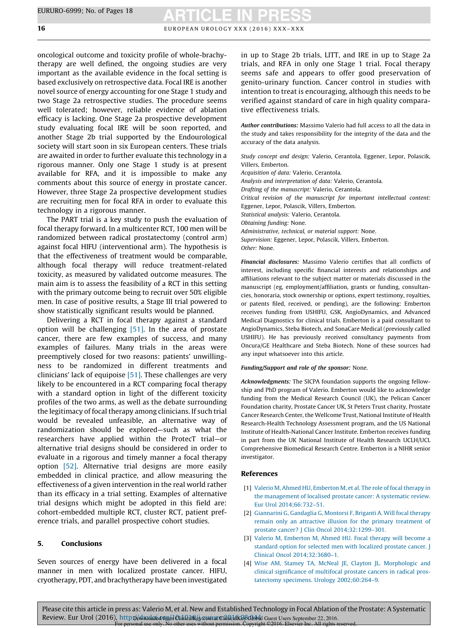<span id="page-15-0"></span>oncological outcome and toxicity profile of whole-brachytherapy are well defined, the ongoing studies are very important as the available evidence in the focal setting is based exclusively on retrospective data. Focal IRE is another novel source of energy accounting for one Stage 1 study and two Stage 2a retrospective studies. The procedure seems well tolerated; however, reliable evidence of ablation efficacy is lacking. One Stage 2a prospective development study evaluating focal IRE will be soon reported, and another Stage 2b trial supported by the Endourological society will start soon in six European centers. These trials are awaited in order to further evaluate this technology in a rigorous manner. Only one Stage 1 study is at present available for RFA, and it is impossible to make any comments about this source of energy in prostate cancer. However, three Stage 2a prospective development studies are recruiting men for focal RFA in order to evaluate this technology in a rigorous manner.

The PART trial is a key study to push the evaluation of focal therapy forward. In a multicenter RCT, 100 men will be randomized between radical prostatectomy (control arm) against focal HIFU (interventional arm). The hypothesis is that the effectiveness of treatment would be comparable, although focal therapy will reduce treatment-related toxicity, as measured by validated outcome measures. The main aim is to assess the feasibility of a RCT in this setting with the primary outcome being to recruit over 50% eligible men. In case of positive results, a Stage III trial powered to show statistically significant results would be planned.

Delivering a RCT in focal therapy against a standard option will be challenging [\[51\]](#page-17-0). In the area of prostate cancer, there are few examples of success, and many examples of failures. Many trials in the areas were preemptively closed for two reasons: patients' unwillingness to be randomized in different treatments and clinicians' lack of equipoise  $[51]$ . These challenges are very likely to be encountered in a RCT comparing focal therapy with a standard option in light of the different toxicity profiles of the two arms, as well as the debate surrounding the legitimacy of focal therapy among clinicians. If such trial would be revealed unfeasible, an alternative way of randomization should be explored—such as what the researchers have applied within the ProtecT trial—or alternative trial designs should be considered in order to evaluate in a rigorous and timely manner a focal therapy option [\[52\].](#page-17-0) Alternative trial designs are more easily embedded in clinical practice, and allow measuring the effectiveness of a given intervention in the real world rather than its efficacy in a trial setting. Examples of alternative trial designs which might be adopted in this field are: cohort-embedded multiple RCT, cluster RCT, patient preference trials, and parallel prospective cohort studies.

#### 5. Conclusions

Seven sources of energy have been delivered in a focal manner in men with localized prostate cancer. HIFU, cryotherapy, PDT, and brachytherapy have been investigated

in up to Stage 2b trials, LITT, and IRE in up to Stage 2a trials, and RFA in only one Stage 1 trial. Focal therapy seems safe and appears to offer good preservation of genito-urinary function. Cancer control in studies with intention to treat is encouraging, although this needs to be verified against standard of care in high quality comparative effectiveness trials.

Author contributions: Massimo Valerio had full access to all the data in the study and takes responsibility for the integrity of the data and the accuracy of the data analysis.

Study concept and design: Valerio, Cerantola, Eggener, Lepor, Polascik, Villers, Emberton. Acquisition of data: Valerio, Cerantola. Analysis and interpretation of data: Valerio, Cerantola. Drafting of the manuscript: Valerio, Cerantola. Critical revision of the manuscript for important intellectual content: Eggener, Lepor, Polascik, Villers, Emberton. Statistical analysis: Valerio, Cerantola. Obtaining funding: None. Administrative, technical, or material support: None. Supervision: Eggener, Lepor, Polascik, Villers, Emberton. Other: None.

Financial disclosures: Massimo Valerio certifies that all conflicts of interest, including specific financial interests and relationships and affiliations relevant to the subject matter or materials discussed in the manuscript (eg, employment/affiliation, grants or funding, consultancies, honoraria, stock ownership or options, expert testimony, royalties, or patents filed, received, or pending), are the following: Emberton receives funding from USHIFU, GSK, AngioDynamics, and Advanced Medical Diagnostics for clinical trials. Emberton is a paid consultant to AngioDynamics, Steba Biotech, and SonaCare Medical (previously called USHIFU). He has previously received consultancy payments from Oncura/GE Healthcare and Steba Biotech. None of these sources had any input whatsoever into this article.

#### Funding/Support and role of the sponsor: None.

Acknowledgments: The SICPA foundation supports the ongoing fellowship and PhD program of Valerio. Emberton would like to acknowledge funding from the Medical Research Council (UK), the Pelican Cancer Foundation charity, Prostate Cancer UK, St Peters Trust charity, Prostate Cancer Research Center, the Wellcome Trust, National Institute of Health Research-Health Technology Assessment program, and the US National Institute of Health-National Cancer Institute. Emberton receives funding in part from the UK National Institute of Health Research UCLH/UCL Comprehensive Biomedical Research Centre. Emberton is a NIHR senior investigator.

#### References

- [1] Valerio M, Ahmed HU, [Emberton](http://refhub.elsevier.com/S0302-2838(16)30512-7/sbref0265) M, et al. The role of focal therapy in the [management](http://refhub.elsevier.com/S0302-2838(16)30512-7/sbref0265) of localised prostate cancer: A systematic review. Eur Urol [2014;66:732–51.](http://refhub.elsevier.com/S0302-2838(16)30512-7/sbref0265)
- [2] [Giannarini](http://refhub.elsevier.com/S0302-2838(16)30512-7/sbref0270) G, Gandaglia G, Montorsi F, Briganti A. Will focal therapy remain only an attractive illusion for the primary [treatment](http://refhub.elsevier.com/S0302-2838(16)30512-7/sbref0270) of prostate cancer? J Clin Oncol [2014;32:1299–301.](http://refhub.elsevier.com/S0302-2838(16)30512-7/sbref0270)
- [3] Valerio M, [Emberton](http://refhub.elsevier.com/S0302-2838(16)30512-7/sbref0275) M, Ahmed HU. Focal therapy will become a standard option for selected men with [localized](http://refhub.elsevier.com/S0302-2838(16)30512-7/sbref0275) prostate cancer. J Clinical Oncol [2014;32:3680–1.](http://refhub.elsevier.com/S0302-2838(16)30512-7/sbref0275)
- [4] Wise AM, Stamey TA, McNeal JE, Clayton JL. [Morphologic](http://refhub.elsevier.com/S0302-2838(16)30512-7/sbref0280) and clinical [significance](http://refhub.elsevier.com/S0302-2838(16)30512-7/sbref0280) of multifocal prostate cancers in radical prostatectomy specimens. Urology [2002;60:264–9](http://refhub.elsevier.com/S0302-2838(16)30512-7/sbref0280).

Please cite this article in press as: Valerio M, et al. New and Established Technology in Focal Ablation of the Prostate: A Systematic Review. Eur Urol (2016), http://dxiolade.org/10ini0alRey.com at ClinicalRey Global Guest Users September 22, 2016. For personal use only. No other uses without permission. Copyright ©2016. Elsevier Inc. All rights reserved.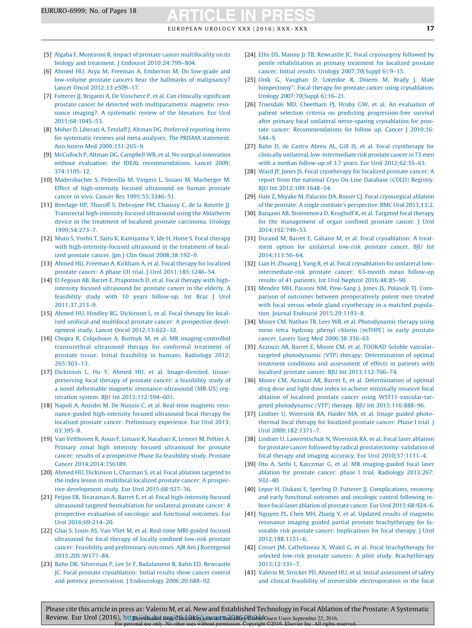- <span id="page-16-0"></span>[5] Algaba F, Montironi R. Impact of prostate cancer [multifocality](http://refhub.elsevier.com/S0302-2838(16)30512-7/sbref0285) on its biology and treatment. J Endourol 2010;24:799-804.
- [6] Ahmed HU, Arya M, Freeman A, Emberton M. Do [low-grade](http://refhub.elsevier.com/S0302-2838(16)30512-7/sbref0290) and low-volume prostate cancers bear the hallmarks of [malignancy?](http://refhub.elsevier.com/S0302-2838(16)30512-7/sbref0290) Lancet Oncol [2012;13:e509–17](http://refhub.elsevier.com/S0302-2838(16)30512-7/sbref0290).
- [7] Futterer JJ, Briganti A, De Visschere P, et al. Can clinically [significant](http://refhub.elsevier.com/S0302-2838(16)30512-7/sbref0295) prostate cancer be detected with [multiparametric](http://refhub.elsevier.com/S0302-2838(16)30512-7/sbref0295) magnetic resonance imaging?. A [systematic](http://refhub.elsevier.com/S0302-2838(16)30512-7/sbref0295) review of the literature. Eur Urol [2015;68:1045–53.](http://refhub.elsevier.com/S0302-2838(16)30512-7/sbref0295)
- [8] Moher D, Liberati A, Tetzlaff J, Altman DG. Preferred [reporting](http://refhub.elsevier.com/S0302-2838(16)30512-7/sbref0300) items for systematic reviews and [meta-analyses:](http://refhub.elsevier.com/S0302-2838(16)30512-7/sbref0300) The PRISMA statement. Ann Intern Med [2009;151:265–9.](http://refhub.elsevier.com/S0302-2838(16)30512-7/sbref0300)
- [9] McCulloch P, Altman DG, Campbell WB, et al. No surgical [innovation](http://refhub.elsevier.com/S0302-2838(16)30512-7/sbref0305) without evaluation: the IDEAL [recommendations.](http://refhub.elsevier.com/S0302-2838(16)30512-7/sbref0305) Lancet 2009; [374:1105–12.](http://refhub.elsevier.com/S0302-2838(16)30512-7/sbref0305)
- [10] [Madersbacher](http://refhub.elsevier.com/S0302-2838(16)30512-7/sbref0310) S, Pedevilla M, Vingers L, Susani M, Marberger M. Effect of [high-intensity](http://refhub.elsevier.com/S0302-2838(16)30512-7/sbref0310) focused ultrasound on human prostate cancer in vivo. Cancer Res [1995;55:3346–51.](http://refhub.elsevier.com/S0302-2838(16)30512-7/sbref0310)
- [11] Beerlage HP, Thuroff S, [Debruyne](http://refhub.elsevier.com/S0302-2838(16)30512-7/sbref0315) FM, Chaussy C, de la Rosette JJ. Transrectal [high-intensity](http://refhub.elsevier.com/S0302-2838(16)30512-7/sbref0315) focused ultrasound using the Ablatherm device in the treatment of localized prostate [carcinoma.](http://refhub.elsevier.com/S0302-2838(16)30512-7/sbref0315) Urology [1999;54:273–7.](http://refhub.elsevier.com/S0302-2838(16)30512-7/sbref0315)
- [12] Muto S, Yoshii T, Saito K, [Kamiyama](http://refhub.elsevier.com/S0302-2838(16)30512-7/sbref0320) Y, Ide H, Horie S. Focal therapy with [high-intensity-focused](http://refhub.elsevier.com/S0302-2838(16)30512-7/sbref0320) ultrasound in the treatment of localized prostate cancer. Jpn J Clin Oncol [2008;38:192–9.](http://refhub.elsevier.com/S0302-2838(16)30512-7/sbref0320)
- [13] Ahmed HU, Freeman A, Kirkham A, et al. Focal therapy for [localized](http://refhub.elsevier.com/S0302-2838(16)30512-7/sbref0325) prostate cancer: A phase I/II trial. J Urol [2011;185:1246–54.](http://refhub.elsevier.com/S0302-2838(16)30512-7/sbref0325)
- [14] El Fegoun AB, Barret E, [Prapotnich](http://refhub.elsevier.com/S0302-2838(16)30512-7/sbref0330) D, et al. Focal therapy with highintensity focused [ultrasound](http://refhub.elsevier.com/S0302-2838(16)30512-7/sbref0330) for prostate cancer in the elderly. A feasibility study with 10 years [follow-up.](http://refhub.elsevier.com/S0302-2838(16)30512-7/sbref0330) Int Braz J Urol [2011;37:213–9.](http://refhub.elsevier.com/S0302-2838(16)30512-7/sbref0330)
- [15] Ahmed HU, Hindley RG, [Dickinson](http://refhub.elsevier.com/S0302-2838(16)30512-7/sbref0335) L, et al. Focal therapy for localised unifocal and multifocal prostate cancer: A [prospective](http://refhub.elsevier.com/S0302-2838(16)30512-7/sbref0335) development study. Lancet Oncol [2012;13:622–32](http://refhub.elsevier.com/S0302-2838(16)30512-7/sbref0335).
- [16] Chopra R, Colquhoun A, Burtnyk M, et al. MR [imaging-controlled](http://refhub.elsevier.com/S0302-2838(16)30512-7/sbref0340) [transurethral](http://refhub.elsevier.com/S0302-2838(16)30512-7/sbref0340) ultrasound therapy for conformal treatment of prostate tissue: Initial [feasibility](http://refhub.elsevier.com/S0302-2838(16)30512-7/sbref0340) in humans. Radiology 2012; [265:303–13.](http://refhub.elsevier.com/S0302-2838(16)30512-7/sbref0340)
- [17] Dickinson L, Hu Y, Ahmed HU, et al. [Image-directed,](http://refhub.elsevier.com/S0302-2838(16)30512-7/sbref0345) tissue[preserving](http://refhub.elsevier.com/S0302-2838(16)30512-7/sbref0345) focal therapy of prostate cancer: a feasibility study of a novel deformable magnetic [resonance-ultrasound](http://refhub.elsevier.com/S0302-2838(16)30512-7/sbref0345) (MR-US) registration system. BJU Int [2013;112:594–601](http://refhub.elsevier.com/S0302-2838(16)30512-7/sbref0345).
- [18] Napoli A, Anzidei M, De Nunzio C, et al. [Real-time](http://refhub.elsevier.com/S0302-2838(16)30512-7/sbref0350) magnetic resonance-guided [high-intensity](http://refhub.elsevier.com/S0302-2838(16)30512-7/sbref0350) focused ultrasound focal therapy for localised prostate cancer: [Preliminary](http://refhub.elsevier.com/S0302-2838(16)30512-7/sbref0350) experience. Eur Urol 2013; [63:395–8](http://refhub.elsevier.com/S0302-2838(16)30512-7/sbref0350).
- [19] Van [Velthoven](http://refhub.elsevier.com/S0302-2838(16)30512-7/sbref0355) R, Aoun F, Limani K, Narahari K, Lemort M, Peltier A. Primary zonal high intensity focused [ultrasound](http://refhub.elsevier.com/S0302-2838(16)30512-7/sbref0355) for prostate cancer: results of a [prospective](http://refhub.elsevier.com/S0302-2838(16)30512-7/sbref0355) Phase IIa feasibility study. Prostate Cancer [2014;2014:756189.](http://refhub.elsevier.com/S0302-2838(16)30512-7/sbref0355)
- [20] Ahmed HU, [Dickinson](http://refhub.elsevier.com/S0302-2838(16)30512-7/sbref0360) L, Charman S, et al. Focal ablation targeted to the index lesion in [multifocal](http://refhub.elsevier.com/S0302-2838(16)30512-7/sbref0360) localized prostate cancer: A prospective development study. Eur Urol [2015;68:927–36](http://refhub.elsevier.com/S0302-2838(16)30512-7/sbref0360).
- [21] Feijoo ER, Sivaraman A, Barret E, et al. Focal [high-intensity](http://refhub.elsevier.com/S0302-2838(16)30512-7/sbref0365) focused ultrasound targeted [hemiablation](http://refhub.elsevier.com/S0302-2838(16)30512-7/sbref0365) for unilateral prostate cancer: A [prospective](http://refhub.elsevier.com/S0302-2838(16)30512-7/sbref0365) evaluation of oncologic and functional outcomes. Eur Urol [2016;69:214–20.](http://refhub.elsevier.com/S0302-2838(16)30512-7/sbref0365)
- [22] Ghai S, Louis AS, Van Vliet M, et al. Real-time [MRI-guided](http://refhub.elsevier.com/S0302-2838(16)30512-7/sbref0370) focused [ultrasound](http://refhub.elsevier.com/S0302-2838(16)30512-7/sbref0370) for focal therapy of locally confined low-risk prostate cancer: Feasibility and [preliminary](http://refhub.elsevier.com/S0302-2838(16)30512-7/sbref0370) outcomes. AJR Am J Roentgenol [2015;205:W177–84.](http://refhub.elsevier.com/S0302-2838(16)30512-7/sbref0370)
- [23] Bahn DK, [Silverman](http://refhub.elsevier.com/S0302-2838(16)30512-7/sbref0375) P, Lee Sr F, [Badalament](http://refhub.elsevier.com/S0302-2838(16)30512-7/sbref0375) R, Bahn ED, Rewcastle JC. Focal prostate [cryoablation:](http://refhub.elsevier.com/S0302-2838(16)30512-7/sbref0375) Initial results show cancer control and potency preservation. J Endourology [2006;20:688–92.](http://refhub.elsevier.com/S0302-2838(16)30512-7/sbref0375)
- [24] [Ellis](http://refhub.elsevier.com/S0302-2838(16)30512-7/sbref0380) DS, Manny Jr TB, Rewcastle JC. Focal [cryosurgery](http://refhub.elsevier.com/S0302-2838(16)30512-7/sbref0380) followed by penile [rehabilitation](http://refhub.elsevier.com/S0302-2838(16)30512-7/sbref0380) as primary treatment for localized prostate cancer: Initial results. Urology [2007;70\(Suppl](http://refhub.elsevier.com/S0302-2838(16)30512-7/sbref0380) 6):9–15.
- [25] Onik G, [Vaughan](http://refhub.elsevier.com/S0302-2838(16)30512-7/sbref0385) D, Lotenfoe R, Dineen M, Brady J. Male [lumpectomy'':](http://refhub.elsevier.com/S0302-2838(16)30512-7/sbref0385) Focal therapy for prostate cancer using cryoablation. Urology [2007;70\(Suppl](http://refhub.elsevier.com/S0302-2838(16)30512-7/sbref0385) 6):16–21.
- [26] Truesdale MD, Cheetham PJ, Hruby GW, et al. An [evaluation](http://refhub.elsevier.com/S0302-2838(16)30512-7/sbref0390) of patient selection criteria on predicting [progression-free](http://refhub.elsevier.com/S0302-2838(16)30512-7/sbref0390) survival after primary focal unilateral [nerve-sparing](http://refhub.elsevier.com/S0302-2838(16)30512-7/sbref0390) cryoablation for prostate cancer: [Recommendations](http://refhub.elsevier.com/S0302-2838(16)30512-7/sbref0390) for follow up. Cancer J 2010;16: [544–9](http://refhub.elsevier.com/S0302-2838(16)30512-7/sbref0390).
- [27] Bahn D, de Castro Abreu AL, Gill IS, et al. Focal [cryotherapy](http://refhub.elsevier.com/S0302-2838(16)30512-7/sbref0395) for clinically unilateral, [low-intermediate](http://refhub.elsevier.com/S0302-2838(16)30512-7/sbref0395) risk prostate cancer in 73 men with a median follow-up of 3.7 years. Eur Urol [2012;62:55–63](http://refhub.elsevier.com/S0302-2838(16)30512-7/sbref0395).
- [28] Ward JF, Jones JS. Focal [cryotherapy](http://refhub.elsevier.com/S0302-2838(16)30512-7/sbref0400) for localized prostate cancer: A report from the national Cryo On-Line [Database](http://refhub.elsevier.com/S0302-2838(16)30512-7/sbref0400) (COLD) Registry. BJU Int [2012;109:1648–54.](http://refhub.elsevier.com/S0302-2838(16)30512-7/sbref0400)
- [29] Hale Z, Miyake M, Palacios DA, Rosser CJ. Focal [cryosurgical](http://refhub.elsevier.com/S0302-2838(16)30512-7/sbref0405) ablation of the prostate: A single institute's [perspective.](http://refhub.elsevier.com/S0302-2838(16)30512-7/sbref0405) BMC Urol 2013;13:2.
- [30] Barqawi AB, [Stoimenova](http://refhub.elsevier.com/S0302-2838(16)30512-7/sbref0410) D, Krughoff K, et al. Targeted focal therapy for the [management](http://refhub.elsevier.com/S0302-2838(16)30512-7/sbref0410) of organ confined prostate cancer. J Urol [2014;192:749–53](http://refhub.elsevier.com/S0302-2838(16)30512-7/sbref0410).
- [31] Durand M, Barret E, Galiano M, et al. Focal [cryoablation:](http://refhub.elsevier.com/S0302-2838(16)30512-7/sbref0415) A treatment option for [unilateral](http://refhub.elsevier.com/S0302-2838(16)30512-7/sbref0415) low-risk prostate cancer. BJU Int [2014;113:56–64](http://refhub.elsevier.com/S0302-2838(16)30512-7/sbref0415).
- [32] Lian H, Zhuang J, Yang R, et al. Focal [cryoablation](http://refhub.elsevier.com/S0302-2838(16)30512-7/sbref0420) for unilateral low[intermediate-risk](http://refhub.elsevier.com/S0302-2838(16)30512-7/sbref0420) prostate cancer: 63-month mean follow-up results of 41 patients. Int Urol Nephrol [2016;48:85–90](http://refhub.elsevier.com/S0302-2838(16)30512-7/sbref0420).
- [33] Mendez MH, Passoni NM, [Pow-Sang](http://refhub.elsevier.com/S0302-2838(16)30512-7/sbref0425) J, Jones JS, Polascik TJ. Comparison of outcomes between [preoperatively](http://refhub.elsevier.com/S0302-2838(16)30512-7/sbref0425) potent men treated with focal versus whole gland [cryotherapy](http://refhub.elsevier.com/S0302-2838(16)30512-7/sbref0425) in a matched population. Journal Endourol [2015;29:1193–8](http://refhub.elsevier.com/S0302-2838(16)30512-7/sbref0425).
- [34] Moore CM, Nathan TR, Lees WR, et al. [Photodynamic](http://refhub.elsevier.com/S0302-2838(16)30512-7/sbref0430) therapy using meso tetra hydroxy phenyl chlorin [\(mTHPC\)](http://refhub.elsevier.com/S0302-2838(16)30512-7/sbref0430) in early prostate cancer. Lasers Surg Med [2006;38:356–63.](http://refhub.elsevier.com/S0302-2838(16)30512-7/sbref0430)
- [35] Azzouzi AR, Barret E, Moore CM, et al. TOOKAD Soluble [vascular](http://refhub.elsevier.com/S0302-2838(16)30512-7/sbref0435)targeted photodynamic (VTP) therapy: [Determination](http://refhub.elsevier.com/S0302-2838(16)30512-7/sbref0435) of optimal treatment conditions and [assessment](http://refhub.elsevier.com/S0302-2838(16)30512-7/sbref0435) of effects in patients with localised prostate cancer. BJU Int [2013;112:766–74](http://refhub.elsevier.com/S0302-2838(16)30512-7/sbref0435).
- [36] Moore CM, Azzouzi AR, Barret E, et al. [Determination](http://refhub.elsevier.com/S0302-2838(16)30512-7/sbref0440) of optimal drug dose and light dose index to achieve [minimally](http://refhub.elsevier.com/S0302-2838(16)30512-7/sbref0440) invasive focal ablation of localised prostate cancer using [WST11-vascular-tar](http://refhub.elsevier.com/S0302-2838(16)30512-7/sbref0440)geted photodynamic (VTP) therapy. BJU Int [2015;116:888–96](http://refhub.elsevier.com/S0302-2838(16)30512-7/sbref0440).
- [37] Lindner U, [Weersink](http://refhub.elsevier.com/S0302-2838(16)30512-7/sbref0445) RA, Haider MA, et al. Image guided photothermal focal therapy for [localized](http://refhub.elsevier.com/S0302-2838(16)30512-7/sbref0445) prostate cancer: Phase I trial. J Urol [2009;182:1371–7](http://refhub.elsevier.com/S0302-2838(16)30512-7/sbref0445).
- [38] Lindner U, [Lawrentschuk](http://refhub.elsevier.com/S0302-2838(16)30512-7/sbref0450) N, Weersink RA, et al. Focal laser ablation for prostate cancer followed by radical [prostatectomy:](http://refhub.elsevier.com/S0302-2838(16)30512-7/sbref0450) validation of focal therapy and imaging accuracy. Eur Urol [2010;57:1111–4.](http://refhub.elsevier.com/S0302-2838(16)30512-7/sbref0450)
- [39] Oto A, Sethi I, Karczmar G, et al. MR [imaging-guided](http://refhub.elsevier.com/S0302-2838(16)30512-7/sbref0455) focal laser ablation for prostate cancer: phase I trial. Radiology [2013;267:](http://refhub.elsevier.com/S0302-2838(16)30512-7/sbref0455) [932–40](http://refhub.elsevier.com/S0302-2838(16)30512-7/sbref0455).
- [40] Lepor H, Llukani E, Sperling D, Futterer JJ. [Complications,](http://refhub.elsevier.com/S0302-2838(16)30512-7/sbref0460) recovery, and early [functional](http://refhub.elsevier.com/S0302-2838(16)30512-7/sbref0460) outcomes and oncologic control following inbore focal laser ablation of prostate cancer. Eur Urol [2015;68:924–6](http://refhub.elsevier.com/S0302-2838(16)30512-7/sbref0460).
- [41] Nguyen PL, Chen MH, Zhang Y, et al. Updated results of [magnetic](http://refhub.elsevier.com/S0302-2838(16)30512-7/sbref0465) resonance imaging guided partial prostate [brachytherapy](http://refhub.elsevier.com/S0302-2838(16)30512-7/sbref0465) for favorable risk prostate cancer: [Implications](http://refhub.elsevier.com/S0302-2838(16)30512-7/sbref0465) for focal therapy. J Urol [2012;188:1151–6](http://refhub.elsevier.com/S0302-2838(16)30512-7/sbref0465).
- [42] Cosset JM, Cathelineau X, Wakil G, et al. Focal [brachytherapy](http://refhub.elsevier.com/S0302-2838(16)30512-7/sbref0470) for selected low-risk prostate cancers: A pilot study. [Brachytherapy](http://refhub.elsevier.com/S0302-2838(16)30512-7/sbref0470) [2013;12:331–7.](http://refhub.elsevier.com/S0302-2838(16)30512-7/sbref0470)
- [43] Valerio M, Stricker PD, Ahmed HU, et al. Initial [assessment](http://refhub.elsevier.com/S0302-2838(16)30512-7/sbref0475) of safety and clinical feasibility of irreversible [electroporation](http://refhub.elsevier.com/S0302-2838(16)30512-7/sbref0475) in the focal

Please cite this article in press as: Valerio M, et al. New and Established Technology in Focal Ablation of the Prostate: A Systematic Review. Eur Urol (2016), http://dito.doi.nog/dishibalkey.com au ClinicalKey@lobal Guest Users September 22, 2016. For personal use only. No other uses without permission. Copyright ©2016. Elsevier Inc. All rights reserved.